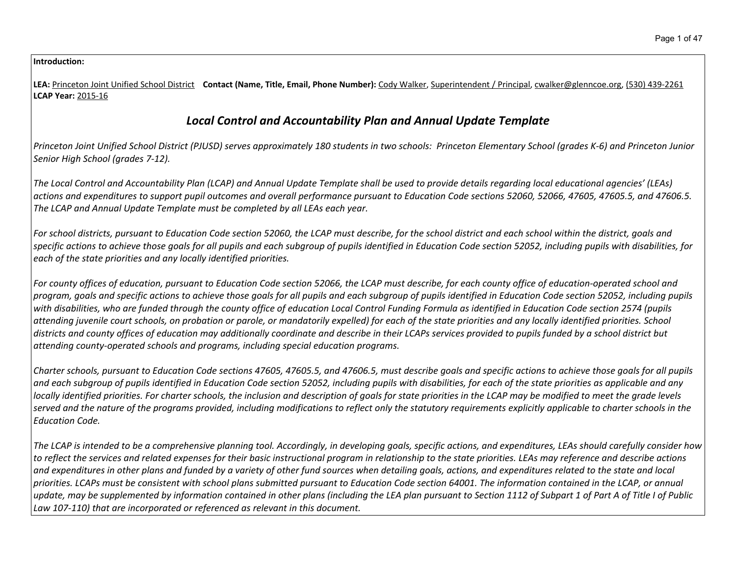### **Introduction:**

**LEA:** Princeton Joint Unified School District **Contact (Name, Title, Email, Phone Number):** Cody Walker, Superintendent / Principal, cwalker@glenncoe.org, (530) 439-2261 **LCAP Year:** 2015-16

# *Local Control and Accountability Plan and Annual Update Template*

Princeton Joint Unified School District (PJUSD) serves approximately 180 students in two schools: Princeton Elementary School (grades K-6) and Princeton Junior *Senior High School (grades 7-12).*

The Local Control and Accountability Plan (LCAP) and Annual Update Template shall be used to provide details regarding local educational agencies' (LEAs) actions and expenditures to support pupil outcomes and overall performance pursuant to Education Code sections 52060, 52066, 47605, 47605.5, and 47606.5. *The LCAP and Annual Update Template must be completed by all LEAs each year.*

For school districts, pursuant to Education Code section 52060, the LCAP must describe, for the school district and each school within the district, goals and specific actions to achieve those goals for all pupils and each subgroup of pupils identified in Education Code section 52052, including pupils with disabilities, for *each of the state priorities and any locally identified priorities.*

For county offices of education, pursuant to Education Code section 52066, the LCAP must describe, for each county office of education-operated school and program, goals and specific actions to achieve those goals for all pupils and each subgroup of pupils identified in Education Code section 52052, including pupils with disabilities, who are funded through the county office of education Local Control Funding Formula as identified in Education Code section 2574 (pupils attending juvenile court schools, on probation or parole, or mandatorily expelled) for each of the state priorities and any locally identified priorities. School districts and county offices of education may additionally coordinate and describe in their LCAPs services provided to pupils funded by a school district but *attending county-operated schools and programs, including special education programs.*

Charter schools, pursuant to Education Code sections 47605, 47605.5, and 47606.5, must describe goals and specific actions to achieve those goals for all pupils and each subgroup of pupils identified in Education Code section 52052, including pupils with disabilities, for each of the state priorities as applicable and any locally identified priorities. For charter schools, the inclusion and description of goals for state priorities in the LCAP may be modified to meet the grade levels served and the nature of the programs provided, including modifications to reflect only the statutory requirements explicitly applicable to charter schools in the *Education Code.*

The LCAP is intended to be a comprehensive planning tool. Accordingly, in developing goals, specific actions, and expenditures, LEAs should carefully consider how to reflect the services and related expenses for their basic instructional program in relationship to the state priorities. LEAs may reference and describe actions and expenditures in other plans and funded by a variety of other fund sources when detailing goals, actions, and expenditures related to the state and local priorities. LCAPs must be consistent with school plans submitted pursuant to Education Code section 64001. The information contained in the LCAP, or annual update, may be supplemented by information contained in other plans (including the LEA plan pursuant to Section 1112 of Subpart 1 of Part A of Title I of Public *Law 107-110) that are incorporated or referenced as relevant in this document.*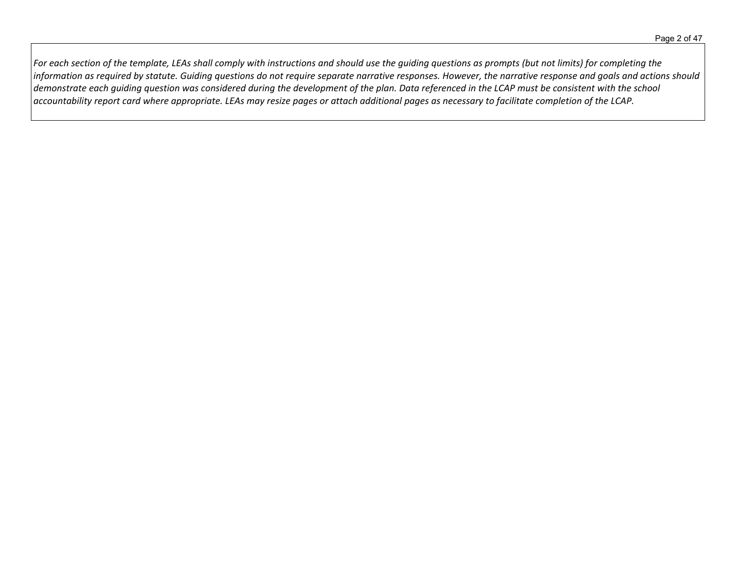For each section of the template, LEAs shall comply with instructions and should use the guiding questions as prompts (but not limits) for completing the information as required by statute. Guiding questions do not require separate narrative responses. However, the narrative response and goals and actions should demonstrate each quiding question was considered during the development of the plan. Data referenced in the LCAP must be consistent with the school accountability report card where appropriate. LEAs may resize pages or attach additional pages as necessary to facilitate completion of the LCAP.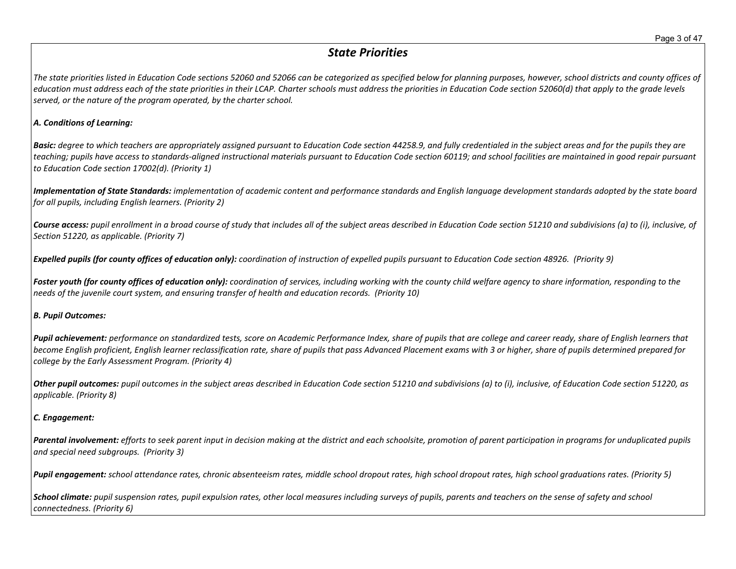# *State Priorities*

The state priorities listed in Education Code sections 52060 and 52066 can be categorized as specified below for planning purposes, however, school districts and county offices of education must address each of the state priorities in their LCAP. Charter schools must address the priorities in Education Code section 52060(d) that apply to the grade levels *served, or the nature of the program operated, by the charter school.*

### *A. Conditions of Learning:*

**Basic:** degree to which teachers are appropriately assigned pursuant to Education Code section 44258.9, and fully credentialed in the subject areas and for the pupils they are teaching; pupils have access to standards-aligned instructional materials pursuant to Education Code section 60119; and school facilities are maintained in good repair pursuant *to Education Code section 17002(d). (Priority 1)*

Implementation of State Standards: implementation of academic content and performance standards and English language development standards adopted by the state board *for all pupils, including English learners. (Priority 2)*

Course access: pupil enrollment in a broad course of study that includes all of the subject areas described in Education Code section 51210 and subdivisions (a) to (i), inclusive, of *Section 51220, as applicable. (Priority 7)*

Expelled pupils (for county offices of education only): coordination of instruction of expelled pupils pursuant to Education Code section 48926. (Priority 9)

Foster youth (for county offices of education only): coordination of services, including working with the county child welfare agency to share information, responding to the *needs of the juvenile court system, and ensuring transfer of health and education records. (Priority 10)*

#### *B. Pupil Outcomes:*

Pupil achievement: performance on standardized tests, score on Academic Performance Index, share of pupils that are college and career ready, share of English learners that become English proficient, English learner reclassification rate, share of pupils that pass Advanced Placement exams with 3 or higher, share of pupils determined prepared for *college by the Early Assessment Program. (Priority 4)*

Other pupil outcomes: pupil outcomes in the subject areas described in Education Code section 51210 and subdivisions (a) to (i), inclusive, of Education Code section 51220, as *applicable. (Priority 8)* 

### *C. Engagement:*

Parental involvement: efforts to seek parent input in decision making at the district and each schoolsite, promotion of parent participation in programs for unduplicated pupils *and special need subgroups. (Priority 3)*

Pupil engagement: school attendance rates, chronic absenteeism rates, middle school dropout rates, high school dropout rates, high school graduations rates. (Priority 5)

School climate: pupil suspension rates, pupil expulsion rates, other local measures including surveys of pupils, parents and teachers on the sense of safety and school *connectedness. (Priority 6)*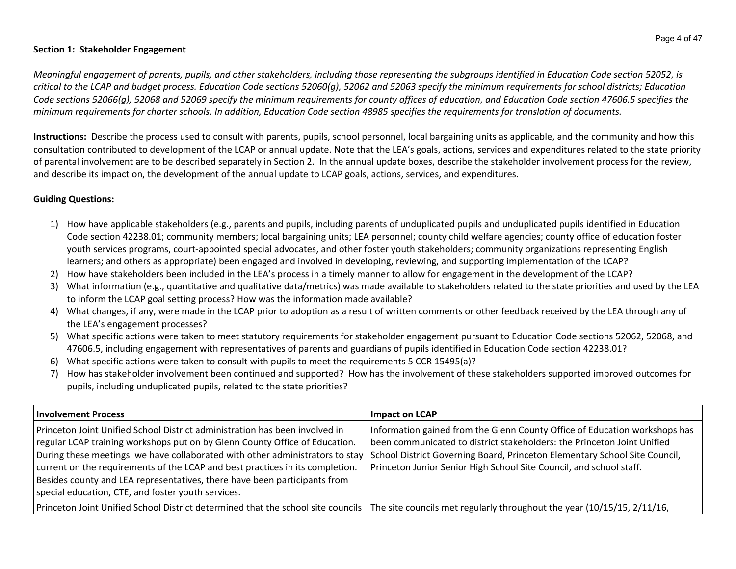### **Section 1: Stakeholder Engagement**

Meaningful engagement of parents, pupils, and other stakeholders, including those representing the subgroups identified in Education Code section 52052, is critical to the LCAP and budget process. Education Code sections 52060(g), 52062 and 52063 specify the minimum requirements for school districts; Education Code sections 52066(g), 52068 and 52069 specify the minimum requirements for county offices of education, and Education Code section 47606.5 specifies the minimum requirements for charter schools. In addition, Education Code section 48985 specifies the requirements for translation of documents.

**Instructions:** Describe the process used to consult with parents, pupils, school personnel, local bargaining units as applicable, and the community and how this consultation contributed to development of the LCAP or annual update. Note that the LEA's goals, actions, services and expenditures related to the state priority of parental involvement are to be described separately in Section 2. In the annual update boxes, describe the stakeholder involvement process for the review, and describe its impact on, the development of the annual update to LCAP goals, actions, services, and expenditures.

### **Guiding Questions:**

- 1) How have applicable stakeholders (e.g., parents and pupils, including parents of unduplicated pupils and unduplicated pupils identified in Education Code section 42238.01; community members; local bargaining units; LEA personnel; county child welfare agencies; county office of education foster youth services programs, court-appointed special advocates, and other foster youth stakeholders; community organizations representing English learners; and others as appropriate) been engaged and involved in developing, reviewing, and supporting implementation of the LCAP?
- 2) How have stakeholders been included in the LEA's process in a timely manner to allow for engagement in the development of the LCAP?
- 3) What information (e.g., quantitative and qualitative data/metrics) was made available to stakeholders related to the state priorities and used by the LEA to inform the LCAP goal setting process? How was the information made available?
- 4) What changes, if any, were made in the LCAP prior to adoption as a result of written comments or other feedback received by the LEA through any of the LEA's engagement processes?
- 5) What specific actions were taken to meet statutory requirements for stakeholder engagement pursuant to Education Code sections 52062, 52068, and 47606.5, including engagement with representatives of parents and guardians of pupils identified in Education Code section 42238.01?
- 6) What specific actions were taken to consult with pupils to meet the requirements 5 CCR 15495(a)?
- 7) How has stakeholder involvement been continued and supported? How has the involvement of these stakeholders supported improved outcomes for pupils, including unduplicated pupils, related to the state priorities?

| <b>Involvement Process</b>                                                                                                                                                                                                                                                                                                                                                                                                                                     | Impact on LCAP                                                                                                                                                                                                                                                                                             |
|----------------------------------------------------------------------------------------------------------------------------------------------------------------------------------------------------------------------------------------------------------------------------------------------------------------------------------------------------------------------------------------------------------------------------------------------------------------|------------------------------------------------------------------------------------------------------------------------------------------------------------------------------------------------------------------------------------------------------------------------------------------------------------|
| Princeton Joint Unified School District administration has been involved in<br>regular LCAP training workshops put on by Glenn County Office of Education.<br>During these meetings we have collaborated with other administrators to stay<br>current on the requirements of the LCAP and best practices in its completion.<br>Besides county and LEA representatives, there have been participants from<br>special education, CTE, and foster youth services. | Information gained from the Glenn County Office of Education workshops has<br>been communicated to district stakeholders: the Princeton Joint Unified<br>School District Governing Board, Princeton Elementary School Site Council,<br>Princeton Junior Senior High School Site Council, and school staff. |
| Princeton Joint Unified School District determined that the school site councils The site councils met regularly throughout the year (10/15/15, 2/11/16,                                                                                                                                                                                                                                                                                                       |                                                                                                                                                                                                                                                                                                            |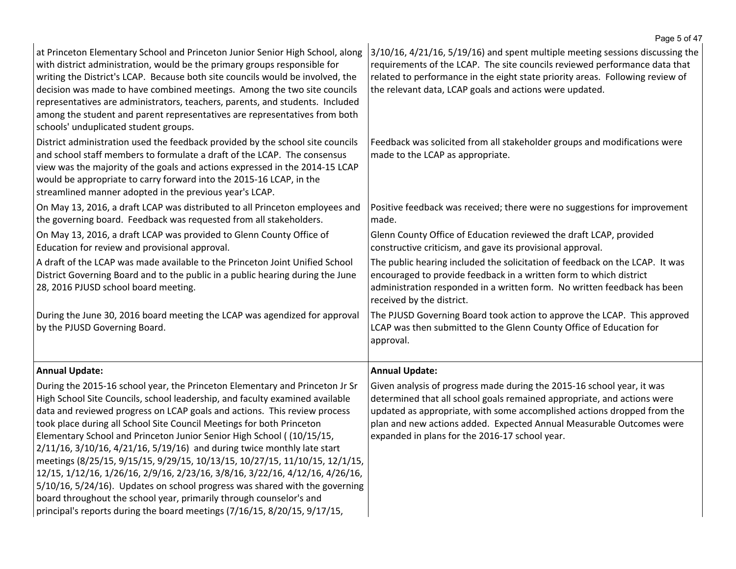|                                                                                                                                                                                                                                                                                                                                                                                                                                                                                                                                                                                                                                                                                                                                                                                                                                                                                      | Page 5 of 47                                                                                                                                                                                                                                                                                                                                           |
|--------------------------------------------------------------------------------------------------------------------------------------------------------------------------------------------------------------------------------------------------------------------------------------------------------------------------------------------------------------------------------------------------------------------------------------------------------------------------------------------------------------------------------------------------------------------------------------------------------------------------------------------------------------------------------------------------------------------------------------------------------------------------------------------------------------------------------------------------------------------------------------|--------------------------------------------------------------------------------------------------------------------------------------------------------------------------------------------------------------------------------------------------------------------------------------------------------------------------------------------------------|
| at Princeton Elementary School and Princeton Junior Senior High School, along<br>with district administration, would be the primary groups responsible for<br>writing the District's LCAP. Because both site councils would be involved, the<br>decision was made to have combined meetings. Among the two site councils<br>representatives are administrators, teachers, parents, and students. Included<br>among the student and parent representatives are representatives from both<br>schools' unduplicated student groups.                                                                                                                                                                                                                                                                                                                                                     | 3/10/16, 4/21/16, 5/19/16) and spent multiple meeting sessions discussing the<br>requirements of the LCAP. The site councils reviewed performance data that<br>related to performance in the eight state priority areas. Following review of<br>the relevant data, LCAP goals and actions were updated.                                                |
| District administration used the feedback provided by the school site councils<br>and school staff members to formulate a draft of the LCAP. The consensus<br>view was the majority of the goals and actions expressed in the 2014-15 LCAP<br>would be appropriate to carry forward into the 2015-16 LCAP, in the<br>streamlined manner adopted in the previous year's LCAP.                                                                                                                                                                                                                                                                                                                                                                                                                                                                                                         | Feedback was solicited from all stakeholder groups and modifications were<br>made to the LCAP as appropriate.                                                                                                                                                                                                                                          |
| On May 13, 2016, a draft LCAP was distributed to all Princeton employees and<br>the governing board. Feedback was requested from all stakeholders.                                                                                                                                                                                                                                                                                                                                                                                                                                                                                                                                                                                                                                                                                                                                   | Positive feedback was received; there were no suggestions for improvement<br>made.                                                                                                                                                                                                                                                                     |
| On May 13, 2016, a draft LCAP was provided to Glenn County Office of<br>Education for review and provisional approval.                                                                                                                                                                                                                                                                                                                                                                                                                                                                                                                                                                                                                                                                                                                                                               | Glenn County Office of Education reviewed the draft LCAP, provided<br>constructive criticism, and gave its provisional approval.                                                                                                                                                                                                                       |
| A draft of the LCAP was made available to the Princeton Joint Unified School<br>District Governing Board and to the public in a public hearing during the June<br>28, 2016 PJUSD school board meeting.                                                                                                                                                                                                                                                                                                                                                                                                                                                                                                                                                                                                                                                                               | The public hearing included the solicitation of feedback on the LCAP. It was<br>encouraged to provide feedback in a written form to which district<br>administration responded in a written form. No written feedback has been<br>received by the district.                                                                                            |
| During the June 30, 2016 board meeting the LCAP was agendized for approval<br>by the PJUSD Governing Board.                                                                                                                                                                                                                                                                                                                                                                                                                                                                                                                                                                                                                                                                                                                                                                          | The PJUSD Governing Board took action to approve the LCAP. This approved<br>LCAP was then submitted to the Glenn County Office of Education for<br>approval.                                                                                                                                                                                           |
| <b>Annual Update:</b>                                                                                                                                                                                                                                                                                                                                                                                                                                                                                                                                                                                                                                                                                                                                                                                                                                                                | <b>Annual Update:</b>                                                                                                                                                                                                                                                                                                                                  |
| During the 2015-16 school year, the Princeton Elementary and Princeton Jr Sr<br>High School Site Councils, school leadership, and faculty examined available<br>data and reviewed progress on LCAP goals and actions. This review process<br>took place during all School Site Council Meetings for both Princeton<br>Elementary School and Princeton Junior Senior High School ((10/15/15,<br>$2/11/16$ , $3/10/16$ , $4/21/16$ , $5/19/16$ ) and during twice monthly late start<br>meetings (8/25/15, 9/15/15, 9/29/15, 10/13/15, 10/27/15, 11/10/15, 12/1/15,<br>12/15, 1/12/16, 1/26/16, 2/9/16, 2/23/16, 3/8/16, 3/22/16, 4/12/16, 4/26/16,<br>5/10/16, 5/24/16). Updates on school progress was shared with the governing<br>board throughout the school year, primarily through counselor's and<br>principal's reports during the board meetings (7/16/15, 8/20/15, 9/17/15, | Given analysis of progress made during the 2015-16 school year, it was<br>determined that all school goals remained appropriate, and actions were<br>updated as appropriate, with some accomplished actions dropped from the<br>plan and new actions added. Expected Annual Measurable Outcomes were<br>expanded in plans for the 2016-17 school year. |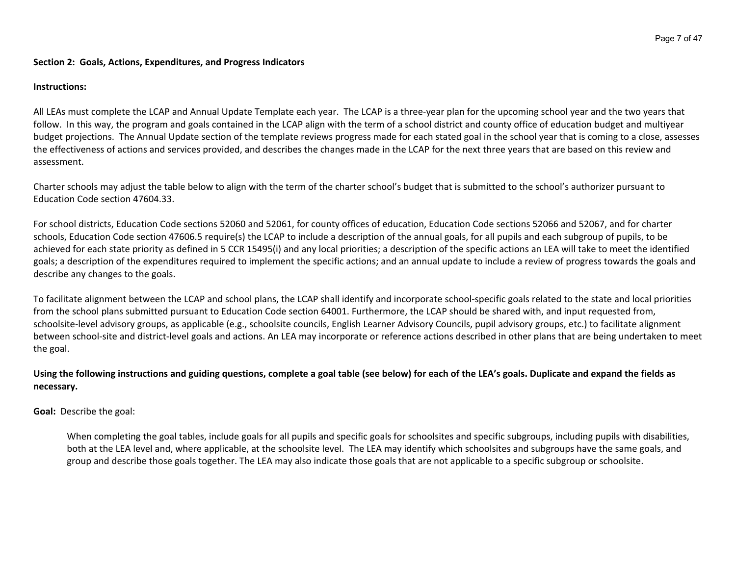#### **Section 2: Goals, Actions, Expenditures, and Progress Indicators**

#### **Instructions:**

All LEAs must complete the LCAP and Annual Update Template each year. The LCAP is a three-year plan for the upcoming school year and the two years that follow. In this way, the program and goals contained in the LCAP align with the term of a school district and county office of education budget and multiyear budget projections. The Annual Update section of the template reviews progress made for each stated goal in the school year that is coming to a close, assesses the effectiveness of actions and services provided, and describes the changes made in the LCAP for the next three years that are based on this review and assessment.

Charter schools may adjust the table below to align with the term of the charter school's budget that is submitted to the school's authorizer pursuant to Education Code section 47604.33.

For school districts, Education Code sections 52060 and 52061, for county offices of education, Education Code sections 52066 and 52067, and for charter schools, Education Code section 47606.5 require(s) the LCAP to include a description of the annual goals, for all pupils and each subgroup of pupils, to be achieved for each state priority as defined in 5 CCR 15495(i) and any local priorities; a description of the specific actions an LEA will take to meet the identified goals; a description of the expenditures required to implement the specific actions; and an annual update to include a review of progress towards the goals and describe any changes to the goals.

To facilitate alignment between the LCAP and school plans, the LCAP shall identify and incorporate school-specific goals related to the state and local priorities from the school plans submitted pursuant to Education Code section 64001. Furthermore, the LCAP should be shared with, and input requested from, schoolsite-level advisory groups, as applicable (e.g., schoolsite councils, English Learner Advisory Councils, pupil advisory groups, etc.) to facilitate alignment between school-site and district-level goals and actions. An LEA may incorporate or reference actions described in other plans that are being undertaken to meet the goal.

### Using the following instructions and guiding questions, complete a goal table (see below) for each of the LEA's goals. Duplicate and expand the fields as **necessary.**

**Goal:** Describe the goal:

When completing the goal tables, include goals for all pupils and specific goals for schoolsites and specific subgroups, including pupils with disabilities, both at the LEA level and, where applicable, at the schoolsite level. The LEA may identify which schoolsites and subgroups have the same goals, and group and describe those goals together. The LEA may also indicate those goals that are not applicable to a specific subgroup or schoolsite.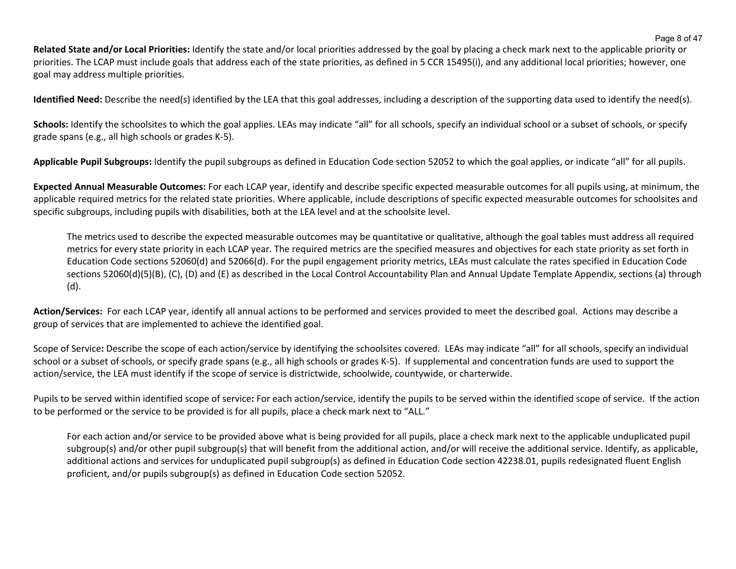**Related State and/or Local Priorities:** Identify the state and/or local priorities addressed by the goal by placing a check mark next to the applicable priority or priorities. The LCAP must include goals that address each of the state priorities, as defined in 5 CCR 15495(i), and any additional local priorities; however, one goal may address multiple priorities.

**Identified Need:** Describe the need(s) identified by the LEA that this goal addresses, including a description of the supporting data used to identify the need(s).

Schools: Identify the schoolsites to which the goal applies. LEAs may indicate "all" for all schools, specify an individual school or a subset of schools, or specify grade spans (e.g., all high schools or grades K-5).

**Applicable Pupil Subgroups:** Identify the pupil subgroups as defined in Education Code section 52052 to which the goal applies, or indicate "all" for all pupils.

**Expected Annual Measurable Outcomes:** For each LCAP year, identify and describe specific expected measurable outcomes for all pupils using, at minimum, the applicable required metrics for the related state priorities. Where applicable, include descriptions of specific expected measurable outcomes for schoolsites and specific subgroups, including pupils with disabilities, both at the LEA level and at the schoolsite level.

The metrics used to describe the expected measurable outcomes may be quantitative or qualitative, although the goal tables must address all required metrics for every state priority in each LCAP year. The required metrics are the specified measures and objectives for each state priority as set forth in Education Code sections 52060(d) and 52066(d). For the pupil engagement priority metrics, LEAs must calculate the rates specified in Education Code sections 52060(d)(5)(B), (C), (D) and (E) as described in the Local Control Accountability Plan and Annual Update Template Appendix, sections (a) through (d).

**Action/Services:** For each LCAP year, identify all annual actions to be performed and services provided to meet the described goal. Actions may describe a group of services that are implemented to achieve the identified goal.

Scope of Service**:** Describe the scope of each action/service by identifying the schoolsites covered. LEAs may indicate "all" for all schools, specify an individual school or a subset of schools, or specify grade spans (e.g., all high schools or grades K-5). If supplemental and concentration funds are used to support the action/service, the LEA must identify if the scope of service is districtwide, schoolwide, countywide, or charterwide.

Pupils to be served within identified scope of service**:** For each action/service, identify the pupils to be served within the identified scope of service. If the action to be performed or the service to be provided is for all pupils, place a check mark next to "ALL."

For each action and/or service to be provided above what is being provided for all pupils, place a check mark next to the applicable unduplicated pupil subgroup(s) and/or other pupil subgroup(s) that will benefit from the additional action, and/or will receive the additional service. Identify, as applicable, additional actions and services for unduplicated pupil subgroup(s) as defined in Education Code section 42238.01, pupils redesignated fluent English proficient, and/or pupils subgroup(s) as defined in Education Code section 52052.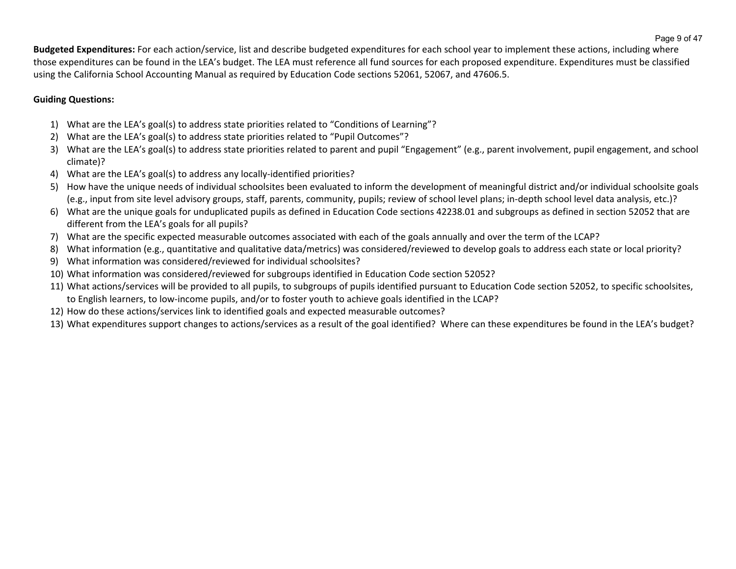**Budgeted Expenditures:** For each action/service, list and describe budgeted expenditures for each school year to implement these actions, including where those expenditures can be found in the LEA's budget. The LEA must reference all fund sources for each proposed expenditure. Expenditures must be classified using the California School Accounting Manual as required by Education Code sections 52061, 52067, and 47606.5.

### **Guiding Questions:**

- 1) What are the LEA's goal(s) to address state priorities related to "Conditions of Learning"?
- 2) What are the LEA's goal(s) to address state priorities related to "Pupil Outcomes"?
- 3) What are the LEA's goal(s) to address state priorities related to parent and pupil "Engagement" (e.g., parent involvement, pupil engagement, and school climate)?
- 4) What are the LEA's goal(s) to address any locally-identified priorities?
- 5) How have the unique needs of individual schoolsites been evaluated to inform the development of meaningful district and/or individual schoolsite goals (e.g., input from site level advisory groups, staff, parents, community, pupils; review of school level plans; in-depth school level data analysis, etc.)?
- 6) What are the unique goals for unduplicated pupils as defined in Education Code sections 42238.01 and subgroups as defined in section 52052 that are different from the LEA's goals for all pupils?
- 7) What are the specific expected measurable outcomes associated with each of the goals annually and over the term of the LCAP?
- 8) What information (e.g., quantitative and qualitative data/metrics) was considered/reviewed to develop goals to address each state or local priority?
- 9) What information was considered/reviewed for individual schoolsites?
- 10) What information was considered/reviewed for subgroups identified in Education Code section 52052?
- 11) What actions/services will be provided to all pupils, to subgroups of pupils identified pursuant to Education Code section 52052, to specific schoolsites, to English learners, to low-income pupils, and/or to foster youth to achieve goals identified in the LCAP?
- 12) How do these actions/services link to identified goals and expected measurable outcomes?
- 13) What expenditures support changes to actions/services as a result of the goal identified? Where can these expenditures be found in the LEA's budget?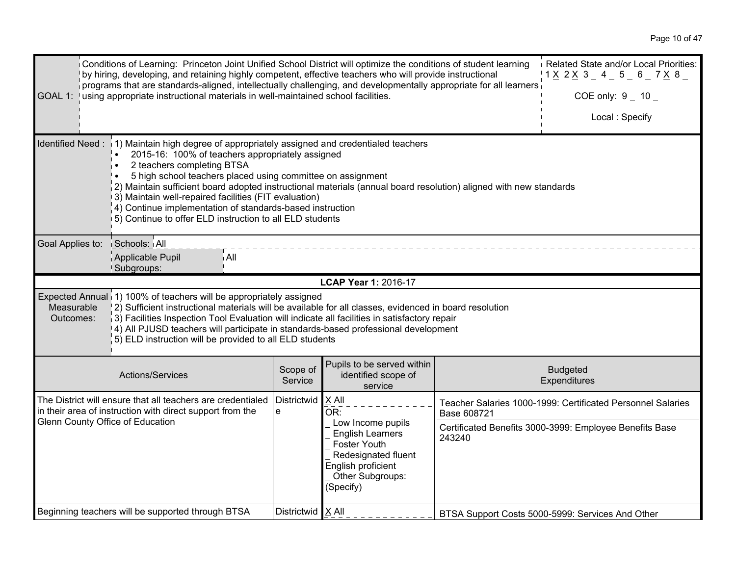| GOAL 1:                                                                                                                                                                                                                                                                                                                                                                                                                                                                                                                                                            | Conditions of Learning: Princeton Joint Unified School District will optimize the conditions of student learning<br>by hiring, developing, and retaining highly competent, effective teachers who will provide instructional<br>$\dot{\parallel}$ programs that are standards-aligned, intellectually challenging, and developmentally appropriate for all learners $\dot{\parallel}$<br>using appropriate instructional materials in well-maintained school facilities. |                     | Related State and/or Local Priorities:<br><u> 1 X</u> 2 <u>X</u> 3 _ 4 _ 5 _ 6 _ 7 <u>X</u> 8 _<br>COE only: $9 - 10 -$<br>Local: Specify                  |                       |                                                                                                                        |
|--------------------------------------------------------------------------------------------------------------------------------------------------------------------------------------------------------------------------------------------------------------------------------------------------------------------------------------------------------------------------------------------------------------------------------------------------------------------------------------------------------------------------------------------------------------------|--------------------------------------------------------------------------------------------------------------------------------------------------------------------------------------------------------------------------------------------------------------------------------------------------------------------------------------------------------------------------------------------------------------------------------------------------------------------------|---------------------|------------------------------------------------------------------------------------------------------------------------------------------------------------|-----------------------|------------------------------------------------------------------------------------------------------------------------|
| Identified Need: 1) Maintain high degree of appropriately assigned and credentialed teachers<br>2015-16: 100% of teachers appropriately assigned<br>2 teachers completing BTSA<br>5 high school teachers placed using committee on assignment<br>$\frac{1}{2}$ ) Maintain sufficient board adopted instructional materials (annual board resolution) aligned with new standards<br>13) Maintain well-repaired facilities (FIT evaluation)<br>4) Continue implementation of standards-based instruction<br>5) Continue to offer ELD instruction to all ELD students |                                                                                                                                                                                                                                                                                                                                                                                                                                                                          |                     |                                                                                                                                                            |                       |                                                                                                                        |
| Goal Applies to:                                                                                                                                                                                                                                                                                                                                                                                                                                                                                                                                                   | Schools: All<br>Applicable Pupil<br>i All<br>Subgroups:                                                                                                                                                                                                                                                                                                                                                                                                                  |                     |                                                                                                                                                            |                       |                                                                                                                        |
|                                                                                                                                                                                                                                                                                                                                                                                                                                                                                                                                                                    |                                                                                                                                                                                                                                                                                                                                                                                                                                                                          |                     | <b>LCAP Year 1: 2016-17</b>                                                                                                                                |                       |                                                                                                                        |
| Measurable<br>Outcomes:                                                                                                                                                                                                                                                                                                                                                                                                                                                                                                                                            | Expected Annual 1) 100% of teachers will be appropriately assigned<br>2) Sufficient instructional materials will be available for all classes, evidenced in board resolution<br>3) Facilities Inspection Tool Evaluation will indicate all facilities in satisfactory repair<br>[4] All PJUSD teachers will participate in standards-based professional development<br>5) ELD instruction will be provided to all ELD students                                           |                     |                                                                                                                                                            |                       |                                                                                                                        |
|                                                                                                                                                                                                                                                                                                                                                                                                                                                                                                                                                                    | Actions/Services                                                                                                                                                                                                                                                                                                                                                                                                                                                         | Scope of<br>Service | Pupils to be served within<br>identified scope of<br>service                                                                                               |                       | <b>Budgeted</b><br>Expenditures                                                                                        |
| Glenn County Office of Education                                                                                                                                                                                                                                                                                                                                                                                                                                                                                                                                   | The District will ensure that all teachers are credentialed<br>in their area of instruction with direct support from the                                                                                                                                                                                                                                                                                                                                                 | Districtwid<br>e    | X All<br>OR:<br>Low Income pupils<br><b>English Learners</b><br>Foster Youth<br>Redesignated fluent<br>English proficient<br>Other Subgroups:<br>(Specify) | Base 608721<br>243240 | Teacher Salaries 1000-1999: Certificated Personnel Salaries<br>Certificated Benefits 3000-3999: Employee Benefits Base |
|                                                                                                                                                                                                                                                                                                                                                                                                                                                                                                                                                                    | Beginning teachers will be supported through BTSA                                                                                                                                                                                                                                                                                                                                                                                                                        | Districtwid   X All |                                                                                                                                                            |                       | BTSA Support Costs 5000-5999: Services And Other                                                                       |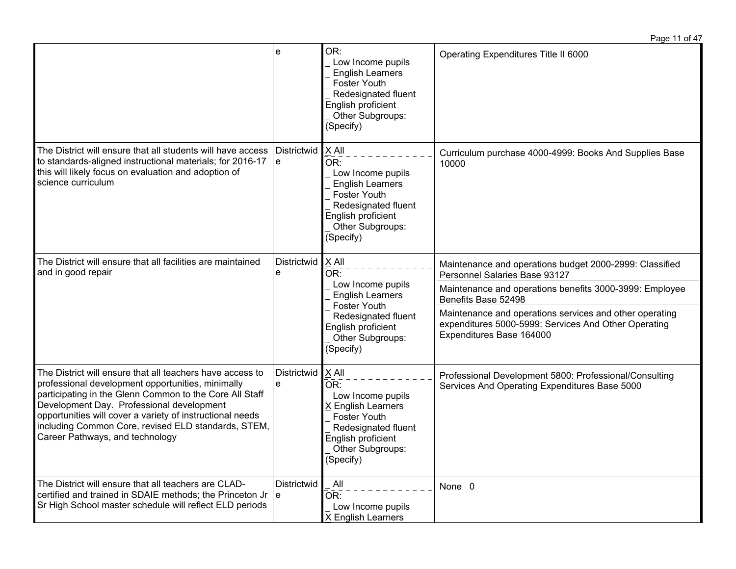|                                                                                                                                                                                                                                                                                                                                                                               |                    |                                                                                                                                                                        | Page 11 of 47                                                                                                                                                                                                                                                                                                             |
|-------------------------------------------------------------------------------------------------------------------------------------------------------------------------------------------------------------------------------------------------------------------------------------------------------------------------------------------------------------------------------|--------------------|------------------------------------------------------------------------------------------------------------------------------------------------------------------------|---------------------------------------------------------------------------------------------------------------------------------------------------------------------------------------------------------------------------------------------------------------------------------------------------------------------------|
|                                                                                                                                                                                                                                                                                                                                                                               | e                  | OR:<br>Low Income pupils<br><b>English Learners</b><br>Foster Youth<br>Redesignated fluent<br>English proficient<br>Other Subgroups:<br>(Specify)                      | Operating Expenditures Title II 6000                                                                                                                                                                                                                                                                                      |
| The District will ensure that all students will have access<br>to standards-aligned instructional materials; for 2016-17<br>this will likely focus on evaluation and adoption of<br>science curriculum                                                                                                                                                                        | Districtwid<br>e   | $ X$ All<br>OR:<br>Low Income pupils<br><b>English Learners</b><br>Foster Youth<br>Redesignated fluent<br>English proficient<br>Other Subgroups:<br>(Specify)          | Curriculum purchase 4000-4999: Books And Supplies Base<br>10000                                                                                                                                                                                                                                                           |
| The District will ensure that all facilities are maintained<br>and in good repair                                                                                                                                                                                                                                                                                             | Districtwid<br>e   | $X$ All<br>OR:<br>Low Income pupils<br><b>English Learners</b><br>Foster Youth<br>Redesignated fluent<br>English proficient<br>Other Subgroups:<br>(Specify)           | Maintenance and operations budget 2000-2999: Classified<br>Personnel Salaries Base 93127<br>Maintenance and operations benefits 3000-3999: Employee<br>Benefits Base 52498<br>Maintenance and operations services and other operating<br>expenditures 5000-5999: Services And Other Operating<br>Expenditures Base 164000 |
| The District will ensure that all teachers have access to<br>professional development opportunities, minimally<br>participating in the Glenn Common to the Core All Staff<br>Development Day. Professional development<br>opportunities will cover a variety of instructional needs<br>including Common Core, revised ELD standards, STEM,<br>Career Pathways, and technology | Districtwid<br>e   | $X$ All<br>OR:<br>Low Income pupils<br>X English Learners<br>Foster Youth<br>Redesignated fluent<br>English proficient<br>Other Subgroups:<br>$\overline{S}$ (Specify) | Professional Development 5800: Professional/Consulting<br>Services And Operating Expenditures Base 5000                                                                                                                                                                                                                   |
| The District will ensure that all teachers are CLAD-<br>certified and trained in SDAIE methods; the Princeton Jr<br>Sr High School master schedule will reflect ELD periods                                                                                                                                                                                                   | Districtwid<br>l e | All<br>OR:<br>Low Income pupils<br>X English Learners                                                                                                                  | None 0                                                                                                                                                                                                                                                                                                                    |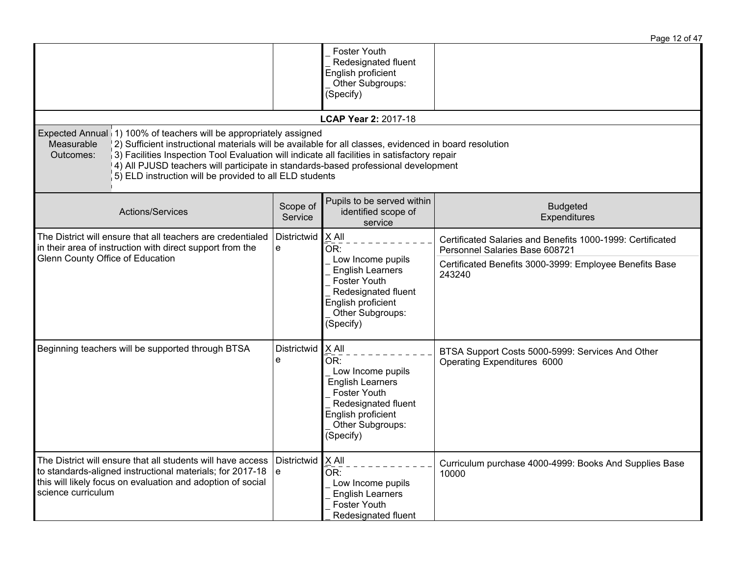|                                                                                                                                                                                                                                                                                                                                                                                                                                                          |                                                                                                                          |                     |                                                                                                                                                              | Page 12 of 47                                                                                                                                                     |
|----------------------------------------------------------------------------------------------------------------------------------------------------------------------------------------------------------------------------------------------------------------------------------------------------------------------------------------------------------------------------------------------------------------------------------------------------------|--------------------------------------------------------------------------------------------------------------------------|---------------------|--------------------------------------------------------------------------------------------------------------------------------------------------------------|-------------------------------------------------------------------------------------------------------------------------------------------------------------------|
|                                                                                                                                                                                                                                                                                                                                                                                                                                                          |                                                                                                                          |                     | Foster Youth<br>Redesignated fluent<br>English proficient<br>Other Subgroups:<br>(Specify)                                                                   |                                                                                                                                                                   |
|                                                                                                                                                                                                                                                                                                                                                                                                                                                          |                                                                                                                          |                     | LCAP Year 2: 2017-18                                                                                                                                         |                                                                                                                                                                   |
| Expected Annual 1) 100% of teachers will be appropriately assigned<br>Measurable<br>2) Sufficient instructional materials will be available for all classes, evidenced in board resolution<br>3) Facilities Inspection Tool Evaluation will indicate all facilities in satisfactory repair<br>Outcomes:<br>4) All PJUSD teachers will participate in standards-based professional development<br>5) ELD instruction will be provided to all ELD students |                                                                                                                          |                     |                                                                                                                                                              |                                                                                                                                                                   |
|                                                                                                                                                                                                                                                                                                                                                                                                                                                          | Actions/Services                                                                                                         | Scope of<br>Service | Pupils to be served within<br>identified scope of<br>service                                                                                                 | <b>Budgeted</b><br>Expenditures                                                                                                                                   |
| Glenn County Office of Education                                                                                                                                                                                                                                                                                                                                                                                                                         | The District will ensure that all teachers are credentialed<br>in their area of instruction with direct support from the | Districtwid<br>e    | $X$ All<br>OR:<br>Low Income pupils<br><b>English Learners</b><br>Foster Youth<br>Redesignated fluent<br>English proficient<br>Other Subgroups:<br>(Specify) | Certificated Salaries and Benefits 1000-1999: Certificated<br>Personnel Salaries Base 608721<br>Certificated Benefits 3000-3999: Employee Benefits Base<br>243240 |
| Beginning teachers will be supported through BTSA                                                                                                                                                                                                                                                                                                                                                                                                        |                                                                                                                          | Districtwid<br>e    | $X$ All<br>OR:<br>Low Income pupils<br><b>English Learners</b><br>Foster Youth<br>Redesignated fluent<br>English proficient<br>Other Subgroups:<br>(Specify) | BTSA Support Costs 5000-5999: Services And Other<br>Operating Expenditures 6000                                                                                   |
| The District will ensure that all students will have access<br>to standards-aligned instructional materials; for 2017-18<br>this will likely focus on evaluation and adoption of social<br>science curriculum                                                                                                                                                                                                                                            |                                                                                                                          | Districtwid<br>∣e   | $X$ All<br>OR:<br>Low Income pupils<br><b>English Learners</b><br>Foster Youth<br>Redesignated fluent                                                        | Curriculum purchase 4000-4999: Books And Supplies Base<br>10000                                                                                                   |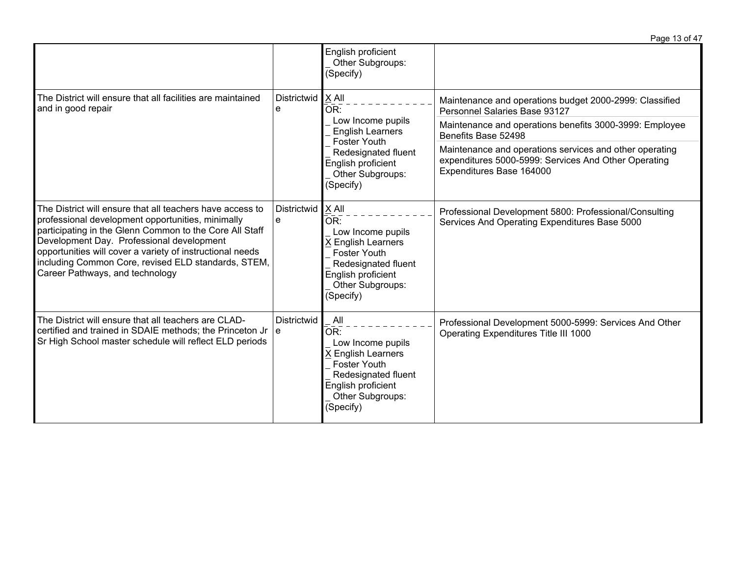|                                                                                                                                                                                                                                                                                                                                                                               |                           | English proficient<br>Other Subgroups:<br>(Specify)                                                                                                                   |                                                                                                                                             |
|-------------------------------------------------------------------------------------------------------------------------------------------------------------------------------------------------------------------------------------------------------------------------------------------------------------------------------------------------------------------------------|---------------------------|-----------------------------------------------------------------------------------------------------------------------------------------------------------------------|---------------------------------------------------------------------------------------------------------------------------------------------|
| The District will ensure that all facilities are maintained<br>and in good repair                                                                                                                                                                                                                                                                                             | Districtwid   X All<br>e  | OR:                                                                                                                                                                   | Maintenance and operations budget 2000-2999: Classified<br>Personnel Salaries Base 93127                                                    |
|                                                                                                                                                                                                                                                                                                                                                                               |                           | Low Income pupils<br><b>English Learners</b><br><b>Foster Youth</b>                                                                                                   | Maintenance and operations benefits 3000-3999: Employee<br>Benefits Base 52498                                                              |
|                                                                                                                                                                                                                                                                                                                                                                               |                           | Redesignated fluent<br>English proficient<br>Other Subgroups:<br>(Specify)                                                                                            | Maintenance and operations services and other operating<br>expenditures 5000-5999: Services And Other Operating<br>Expenditures Base 164000 |
| The District will ensure that all teachers have access to<br>professional development opportunities, minimally<br>participating in the Glenn Common to the Core All Staff<br>Development Day. Professional development<br>opportunities will cover a variety of instructional needs<br>including Common Core, revised ELD standards, STEM,<br>Career Pathways, and technology | Districtwid<br>e          | $X$ All<br>OR:<br>Low Income pupils<br><b>X English Learners</b><br><b>Foster Youth</b><br>Redesignated fluent<br>English proficient<br>Other Subgroups:<br>(Specify) | Professional Development 5800: Professional/Consulting<br>Services And Operating Expenditures Base 5000                                     |
| The District will ensure that all teachers are CLAD-<br>certified and trained in SDAIE methods; the Princeton Jr<br>Sr High School master schedule will reflect ELD periods                                                                                                                                                                                                   | <b>Districtwid</b><br>∣e. | All<br>OR:<br>Low Income pupils<br>X English Learners<br><b>Foster Youth</b><br>Redesignated fluent<br>English proficient<br>Other Subgroups:<br>(Specify)            | Professional Development 5000-5999: Services And Other<br>Operating Expenditures Title III 1000                                             |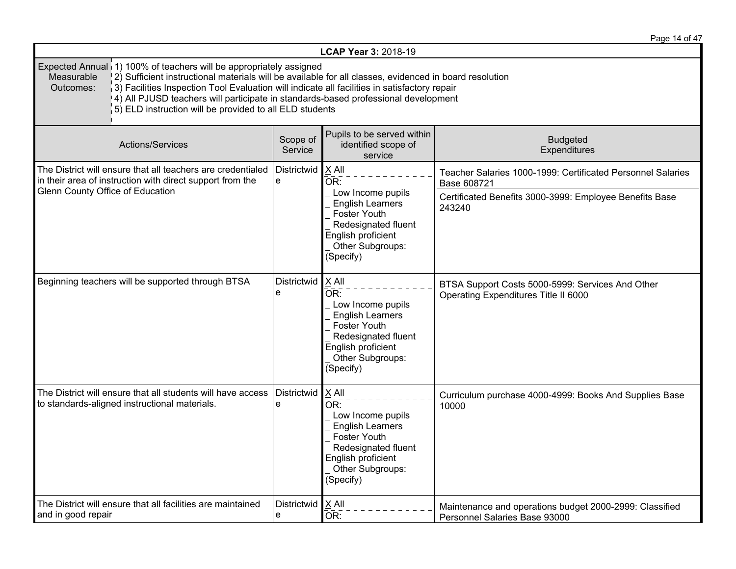Page 14 of 47

| LCAP Year 3: 2018-19                                                                                                                                                                                                                                                                                                                                                                                                                                               |                  |                                                                                                                                                                     |                                                                                          |  |  |
|--------------------------------------------------------------------------------------------------------------------------------------------------------------------------------------------------------------------------------------------------------------------------------------------------------------------------------------------------------------------------------------------------------------------------------------------------------------------|------------------|---------------------------------------------------------------------------------------------------------------------------------------------------------------------|------------------------------------------------------------------------------------------|--|--|
| Expected Annual 1) 100% of teachers will be appropriately assigned<br>(2) Sufficient instructional materials will be available for all classes, evidenced in board resolution<br>Measurable<br>$\vert$ 3) Facilities Inspection Tool Evaluation will indicate all facilities in satisfactory repair<br>Outcomes:<br>[4] All PJUSD teachers will participate in standards-based professional development<br>5) ELD instruction will be provided to all ELD students |                  |                                                                                                                                                                     |                                                                                          |  |  |
| Scope of<br>Actions/Services<br>Service                                                                                                                                                                                                                                                                                                                                                                                                                            |                  | Pupils to be served within<br>identified scope of<br>service                                                                                                        | <b>Budgeted</b><br>Expenditures                                                          |  |  |
| The District will ensure that all teachers are credentialed<br>in their area of instruction with direct support from the                                                                                                                                                                                                                                                                                                                                           | Districtwid<br>e | $X$ All<br>OR:                                                                                                                                                      | Teacher Salaries 1000-1999: Certificated Personnel Salaries<br>Base 608721               |  |  |
| Glenn County Office of Education                                                                                                                                                                                                                                                                                                                                                                                                                                   |                  | Low Income pupils<br><b>English Learners</b><br>Foster Youth<br>Redesignated fluent<br>English proficient<br>Other Subgroups:<br>(Specify)                          | Certificated Benefits 3000-3999: Employee Benefits Base<br>243240                        |  |  |
| Beginning teachers will be supported through BTSA                                                                                                                                                                                                                                                                                                                                                                                                                  | Districtwid<br>e | $X$ All<br>OR:<br>Low Income pupils<br><b>English Learners</b><br><b>Foster Youth</b><br>Redesignated fluent<br>English proficient<br>Other Subgroups:<br>(Specify) | BTSA Support Costs 5000-5999: Services And Other<br>Operating Expenditures Title II 6000 |  |  |
| The District will ensure that all students will have access<br>to standards-aligned instructional materials.                                                                                                                                                                                                                                                                                                                                                       | Districtwid<br>e | $X$ All<br>OR:<br>Low Income pupils<br><b>English Learners</b><br>Foster Youth<br>Redesignated fluent<br>English proficient<br>Other Subgroups:<br>(Specify)        | Curriculum purchase 4000-4999: Books And Supplies Base<br>10000                          |  |  |
| The District will ensure that all facilities are maintained<br>and in good repair                                                                                                                                                                                                                                                                                                                                                                                  | Districtwid<br>e | $X$ All<br>OR:                                                                                                                                                      | Maintenance and operations budget 2000-2999: Classified<br>Personnel Salaries Base 93000 |  |  |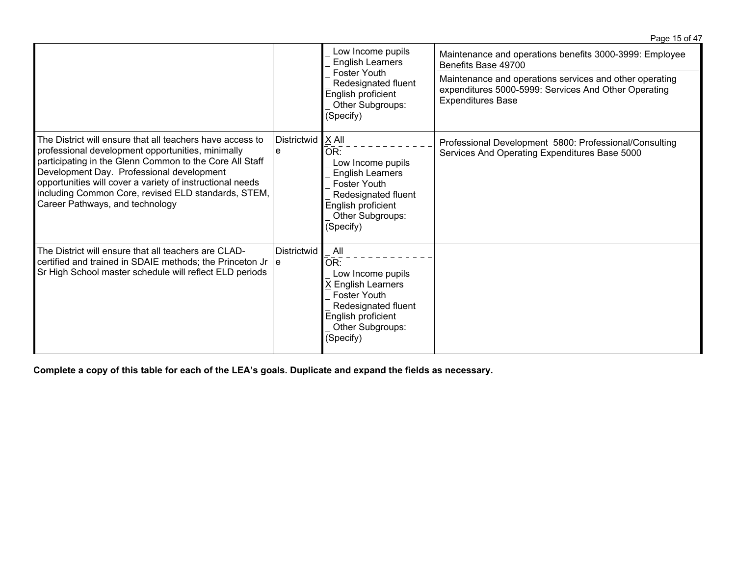|                                                                                                                                                                                                                                                                                                                                                                               |                           | Low Income pupils<br><b>English Learners</b><br>Foster Youth<br>Redesignated fluent<br>English proficient<br>Other Subgroups:<br>(Specify)                        |                                                                                                                                             | Maintenance and operations benefits 3000-3999: Employee<br>Benefits Base 49700 |
|-------------------------------------------------------------------------------------------------------------------------------------------------------------------------------------------------------------------------------------------------------------------------------------------------------------------------------------------------------------------------------|---------------------------|-------------------------------------------------------------------------------------------------------------------------------------------------------------------|---------------------------------------------------------------------------------------------------------------------------------------------|--------------------------------------------------------------------------------|
|                                                                                                                                                                                                                                                                                                                                                                               |                           |                                                                                                                                                                   | Maintenance and operations services and other operating<br>expenditures 5000-5999: Services And Other Operating<br><b>Expenditures Base</b> |                                                                                |
| The District will ensure that all teachers have access to<br>professional development opportunities, minimally<br>participating in the Glenn Common to the Core All Staff<br>Development Day. Professional development<br>opportunities will cover a variety of instructional needs<br>including Common Core, revised ELD standards, STEM,<br>Career Pathways, and technology | Districtwid<br>e          | X All<br>OR:<br>Low Income pupils<br><b>English Learners</b><br><b>Foster Youth</b><br>Redesignated fluent<br>English proficient<br>Other Subgroups:<br>(Specify) | Professional Development 5800: Professional/Consulting<br>Services And Operating Expenditures Base 5000                                     |                                                                                |
| The District will ensure that all teachers are CLAD-<br>certified and trained in SDAIE methods; the Princeton Jr<br>Sr High School master schedule will reflect ELD periods                                                                                                                                                                                                   | <b>Districtwid</b><br>∣e. | All<br>OR:<br>Low Income pupils<br>X English Learners<br><b>Foster Youth</b><br>Redesignated fluent<br>English proficient<br>Other Subgroups:<br>(Specify)        |                                                                                                                                             |                                                                                |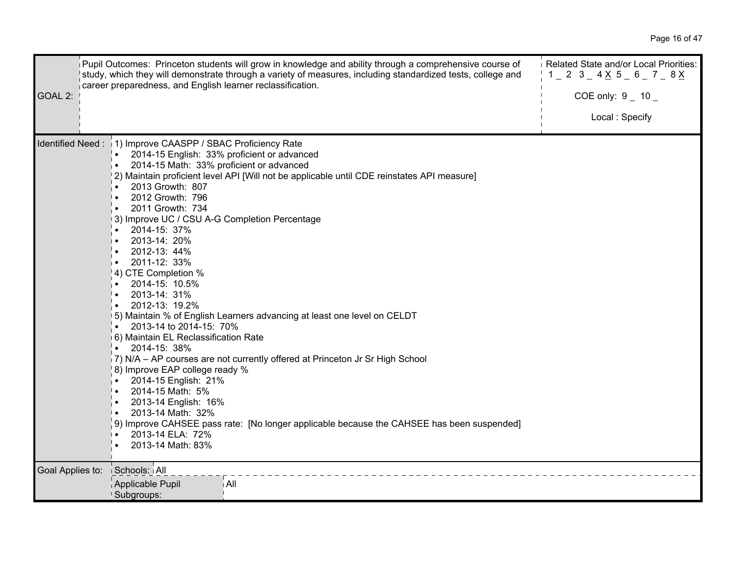| GOAL 2:          | Pupil Outcomes: Princeton students will grow in knowledge and ability through a comprehensive course of<br>study, which they will demonstrate through a variety of measures, including standardized tests, college and<br>career preparedness, and English learner reclassification.                                                                                                                                                                                                                                                                                                                                                                                                                                                                                                                                                                                                                                                                                                                                                                                         | Related State and/or Local Priorities:<br>COE only: $9 - 10$<br>Local: Specify |
|------------------|------------------------------------------------------------------------------------------------------------------------------------------------------------------------------------------------------------------------------------------------------------------------------------------------------------------------------------------------------------------------------------------------------------------------------------------------------------------------------------------------------------------------------------------------------------------------------------------------------------------------------------------------------------------------------------------------------------------------------------------------------------------------------------------------------------------------------------------------------------------------------------------------------------------------------------------------------------------------------------------------------------------------------------------------------------------------------|--------------------------------------------------------------------------------|
|                  | Identified Need: 1) Improve CAASPP / SBAC Proficiency Rate<br>2014-15 English: 33% proficient or advanced<br>2014-15 Math: 33% proficient or advanced<br>[2] Maintain proficient level API [Will not be applicable until CDE reinstates API measure]<br>2013 Growth: 807<br>2012 Growth: 796<br>l.<br>2011 Growth: 734<br>3) Improve UC / CSU A-G Completion Percentage<br>2014-15: 37%<br>2013-14: 20%<br>2012-13: 44%<br>2011-12: 33%<br>$\bullet$<br>4) CTE Completion %<br>2014-15: 10.5%<br>2013-14: 31%<br>2012-13: 19.2%<br>5) Maintain % of English Learners advancing at least one level on CELDT<br>2013-14 to 2014-15: 70%<br>6) Maintain EL Reclassification Rate<br>$\bullet$ 2014-15: 38%<br>7) N/A - AP courses are not currently offered at Princeton Jr Sr High School<br>8) Improve EAP college ready %<br>2014-15 English: 21%<br>$\bullet$<br>2014-15 Math: 5%<br>. ا<br>2013-14 English: 16%<br>2013-14 Math: 32%<br>9) Improve CAHSEE pass rate: [No longer applicable because the CAHSEE has been suspended]<br>2013-14 ELA: 72%<br>2013-14 Math: 83% |                                                                                |
| Goal Applies to: | Schools: All                                                                                                                                                                                                                                                                                                                                                                                                                                                                                                                                                                                                                                                                                                                                                                                                                                                                                                                                                                                                                                                                 |                                                                                |
|                  | Applicable Pupil<br>i All<br>Subgroups:                                                                                                                                                                                                                                                                                                                                                                                                                                                                                                                                                                                                                                                                                                                                                                                                                                                                                                                                                                                                                                      |                                                                                |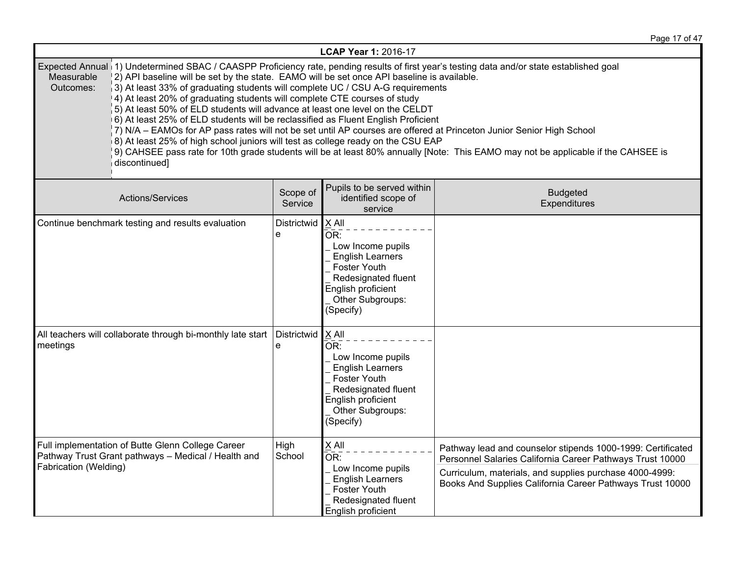Page 17 of 47

| LCAP Year 1: 2016-17                                                                                                                                                                                                                                                                                                                                                                                                                                                                                                                                                                                                                                                                                                                                                                                                                                                                                                                                                                |                  |                                                                                                                                                                                     |                                                                                                                                                                                                                                                  |
|-------------------------------------------------------------------------------------------------------------------------------------------------------------------------------------------------------------------------------------------------------------------------------------------------------------------------------------------------------------------------------------------------------------------------------------------------------------------------------------------------------------------------------------------------------------------------------------------------------------------------------------------------------------------------------------------------------------------------------------------------------------------------------------------------------------------------------------------------------------------------------------------------------------------------------------------------------------------------------------|------------------|-------------------------------------------------------------------------------------------------------------------------------------------------------------------------------------|--------------------------------------------------------------------------------------------------------------------------------------------------------------------------------------------------------------------------------------------------|
| Expected Annual (1) Undetermined SBAC / CAASPP Proficiency rate, pending results of first year's testing data and/or state established goal<br>Measurable<br>2) API baseline will be set by the state. EAMO will be set once API baseline is available.<br>Outcomes:<br>3) At least 33% of graduating students will complete UC / CSU A-G requirements<br>4) At least 20% of graduating students will complete CTE courses of study<br>$\vert$ 5) At least 50% of ELD students will advance at least one level on the CELDT<br>6) At least 25% of ELD students will be reclassified as Fluent English Proficient<br>7) N/A – EAMOs for AP pass rates will not be set until AP courses are offered at Princeton Junior Senior High School<br>[8] At least 25% of high school juniors will test as college ready on the CSU EAP<br>9) CAHSEE pass rate for 10th grade students will be at least 80% annually [Note: This EAMO may not be applicable if the CAHSEE is<br>discontinued] |                  |                                                                                                                                                                                     |                                                                                                                                                                                                                                                  |
| Pupils to be served within<br>Scope of<br><b>Budgeted</b><br>Actions/Services<br>identified scope of<br>Service<br>Expenditures<br>service                                                                                                                                                                                                                                                                                                                                                                                                                                                                                                                                                                                                                                                                                                                                                                                                                                          |                  |                                                                                                                                                                                     |                                                                                                                                                                                                                                                  |
| Continue benchmark testing and results evaluation                                                                                                                                                                                                                                                                                                                                                                                                                                                                                                                                                                                                                                                                                                                                                                                                                                                                                                                                   | Districtwid<br>e | $X$ All<br>$\overline{\mathsf{OR}}$ :<br>Low Income pupils<br><b>English Learners</b><br>Foster Youth<br>Redesignated fluent<br>English proficient<br>Other Subgroups:<br>(Specify) |                                                                                                                                                                                                                                                  |
| All teachers will collaborate through bi-monthly late start<br>meetings                                                                                                                                                                                                                                                                                                                                                                                                                                                                                                                                                                                                                                                                                                                                                                                                                                                                                                             | Districtwid<br>e | $ X$ All<br>$\bar{\mathsf{OR}}$ :<br>Low Income pupils<br><b>English Learners</b><br>Foster Youth<br>Redesignated fluent<br>English proficient<br>Other Subgroups:<br>(Specify)     |                                                                                                                                                                                                                                                  |
| Full implementation of Butte Glenn College Career<br>Pathway Trust Grant pathways - Medical / Health and<br>Fabrication (Welding)                                                                                                                                                                                                                                                                                                                                                                                                                                                                                                                                                                                                                                                                                                                                                                                                                                                   | High<br>School   | X All<br>OR:<br>Low Income pupils<br><b>English Learners</b><br>Foster Youth<br>Redesignated fluent<br>English proficient                                                           | Pathway lead and counselor stipends 1000-1999: Certificated<br>Personnel Salaries California Career Pathways Trust 10000<br>Curriculum, materials, and supplies purchase 4000-4999:<br>Books And Supplies California Career Pathways Trust 10000 |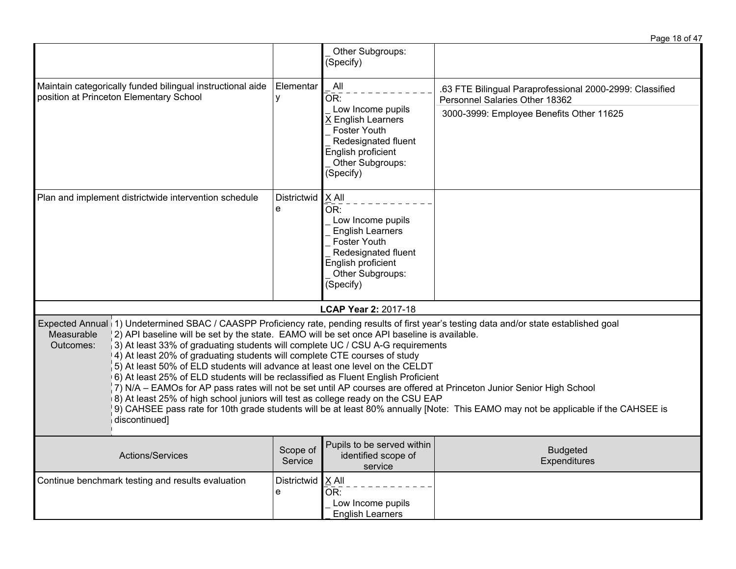|                                                                                                                                                                                                                                                                                                                                                                                                                                                                                                                                                                                                                                                                                                               |                                                                                                                                                                                  |                                                                                                                                                                            | Page 18 of 47                                                                                                                                                                                                                                             |
|---------------------------------------------------------------------------------------------------------------------------------------------------------------------------------------------------------------------------------------------------------------------------------------------------------------------------------------------------------------------------------------------------------------------------------------------------------------------------------------------------------------------------------------------------------------------------------------------------------------------------------------------------------------------------------------------------------------|----------------------------------------------------------------------------------------------------------------------------------------------------------------------------------|----------------------------------------------------------------------------------------------------------------------------------------------------------------------------|-----------------------------------------------------------------------------------------------------------------------------------------------------------------------------------------------------------------------------------------------------------|
|                                                                                                                                                                                                                                                                                                                                                                                                                                                                                                                                                                                                                                                                                                               |                                                                                                                                                                                  | Other Subgroups:<br>(Specify)                                                                                                                                              |                                                                                                                                                                                                                                                           |
| Maintain categorically funded bilingual instructional aide<br>position at Princeton Elementary School                                                                                                                                                                                                                                                                                                                                                                                                                                                                                                                                                                                                         | Elementar<br>y                                                                                                                                                                   | All<br>$\overline{\mathsf{OR}}$ :<br>Low Income pupils<br>X English Learners<br>Foster Youth<br>Redesignated fluent<br>English proficient<br>Other Subgroups:<br>(Specify) | .63 FTE Bilingual Paraprofessional 2000-2999: Classified<br>Personnel Salaries Other 18362                                                                                                                                                                |
|                                                                                                                                                                                                                                                                                                                                                                                                                                                                                                                                                                                                                                                                                                               |                                                                                                                                                                                  |                                                                                                                                                                            | 3000-3999: Employee Benefits Other 11625                                                                                                                                                                                                                  |
| Plan and implement districtwide intervention schedule                                                                                                                                                                                                                                                                                                                                                                                                                                                                                                                                                                                                                                                         | Districtwid<br>$X$ All<br>e<br>OR:<br>Low Income pupils<br><b>English Learners</b><br>Foster Youth<br>Redesignated fluent<br>English proficient<br>Other Subgroups:<br>(Specify) |                                                                                                                                                                            |                                                                                                                                                                                                                                                           |
|                                                                                                                                                                                                                                                                                                                                                                                                                                                                                                                                                                                                                                                                                                               |                                                                                                                                                                                  | <b>LCAP Year 2: 2017-18</b>                                                                                                                                                |                                                                                                                                                                                                                                                           |
| Expected Annual 1) Undetermined SBAC / CAASPP Proficiency rate, pending results of first year's testing data and/or state established goal<br>Measurable<br>2) API baseline will be set by the state. EAMO will be set once API baseline is available.<br>3) At least 33% of graduating students will complete UC / CSU A-G requirements<br>Outcomes:<br>4) At least 20% of graduating students will complete CTE courses of study<br>5) At least 50% of ELD students will advance at least one level on the CELDT<br>6) At least 25% of ELD students will be reclassified as Fluent English Proficient<br>[8] At least 25% of high school juniors will test as college ready on the CSU EAP<br>discontinued] |                                                                                                                                                                                  |                                                                                                                                                                            | 7) N/A - EAMOs for AP pass rates will not be set until AP courses are offered at Princeton Junior Senior High School<br>9) CAHSEE pass rate for 10th grade students will be at least 80% annually [Note: This EAMO may not be applicable if the CAHSEE is |
| Actions/Services                                                                                                                                                                                                                                                                                                                                                                                                                                                                                                                                                                                                                                                                                              | Scope of<br>Service                                                                                                                                                              | Pupils to be served within<br>identified scope of<br>service                                                                                                               | <b>Budgeted</b><br>Expenditures                                                                                                                                                                                                                           |
| Continue benchmark testing and results evaluation                                                                                                                                                                                                                                                                                                                                                                                                                                                                                                                                                                                                                                                             | Districtwid<br>e                                                                                                                                                                 | $X$ All<br>OR:<br>Low Income pupils<br><b>English Learners</b>                                                                                                             |                                                                                                                                                                                                                                                           |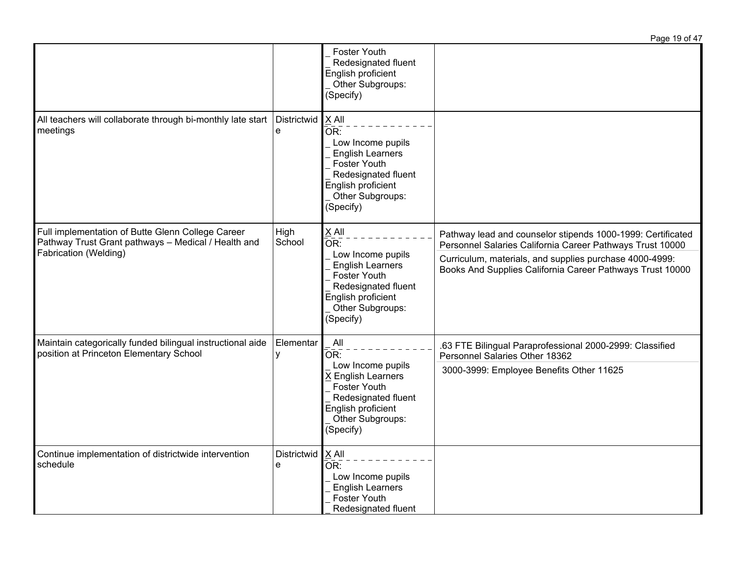|                                                                                                                                   |                  |                                                                                                                                                                                   | Page 19 of 47                                                                                                                                                                                                                                    |
|-----------------------------------------------------------------------------------------------------------------------------------|------------------|-----------------------------------------------------------------------------------------------------------------------------------------------------------------------------------|--------------------------------------------------------------------------------------------------------------------------------------------------------------------------------------------------------------------------------------------------|
|                                                                                                                                   |                  | <b>Foster Youth</b><br>Redesignated fluent<br>English proficient<br>Other Subgroups:<br>(Specify)                                                                                 |                                                                                                                                                                                                                                                  |
| All teachers will collaborate through bi-monthly late start<br>meetings                                                           | Districtwid<br>e | X All<br>OR:<br>Low Income pupils<br><b>English Learners</b><br><b>Foster Youth</b><br>Redesignated fluent<br>English proficient<br>Other Subgroups:<br>(Specify)                 |                                                                                                                                                                                                                                                  |
| Full implementation of Butte Glenn College Career<br>Pathway Trust Grant pathways - Medical / Health and<br>Fabrication (Welding) | High<br>School   | X All<br>$\overline{\mathsf{OR}}$ :<br>Low Income pupils<br><b>English Learners</b><br>Foster Youth<br>Redesignated fluent<br>English proficient<br>Other Subgroups:<br>(Specify) | Pathway lead and counselor stipends 1000-1999: Certificated<br>Personnel Salaries California Career Pathways Trust 10000<br>Curriculum, materials, and supplies purchase 4000-4999:<br>Books And Supplies California Career Pathways Trust 10000 |
| Maintain categorically funded bilingual instructional aide<br>position at Princeton Elementary School                             | Elementar<br>у   | All<br>OR:<br>Low Income pupils<br>X English Learners<br>Foster Youth<br>Redesignated fluent<br>English proficient<br>Other Subgroups:<br>(Specify)                               | .63 FTE Bilingual Paraprofessional 2000-2999: Classified<br>Personnel Salaries Other 18362<br>3000-3999: Employee Benefits Other 11625                                                                                                           |
| Continue implementation of districtwide intervention<br>schedule                                                                  | Districtwid<br>e | X All<br>OR:<br>Low Income pupils<br><b>English Learners</b><br>Foster Youth<br>Redesignated fluent                                                                               |                                                                                                                                                                                                                                                  |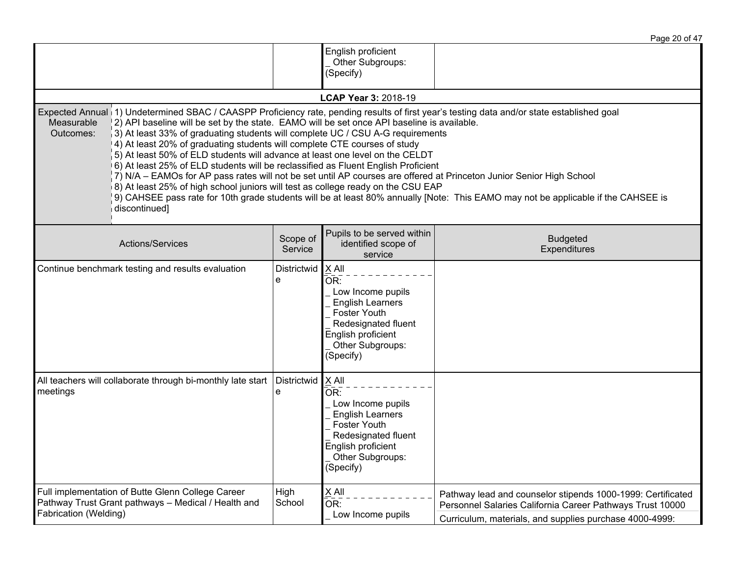|                                                                                                                                                                                                                                                                                                                                                                                                                                                                                                                                                                                                                                                                                                                         |                     |                                                                                                                                                              | Page 20 of 47                                                                                                                                                                                                                                             |
|-------------------------------------------------------------------------------------------------------------------------------------------------------------------------------------------------------------------------------------------------------------------------------------------------------------------------------------------------------------------------------------------------------------------------------------------------------------------------------------------------------------------------------------------------------------------------------------------------------------------------------------------------------------------------------------------------------------------------|---------------------|--------------------------------------------------------------------------------------------------------------------------------------------------------------|-----------------------------------------------------------------------------------------------------------------------------------------------------------------------------------------------------------------------------------------------------------|
|                                                                                                                                                                                                                                                                                                                                                                                                                                                                                                                                                                                                                                                                                                                         |                     | English proficient<br>Other Subgroups:<br>(Specify)                                                                                                          |                                                                                                                                                                                                                                                           |
|                                                                                                                                                                                                                                                                                                                                                                                                                                                                                                                                                                                                                                                                                                                         |                     | LCAP Year 3: 2018-19                                                                                                                                         |                                                                                                                                                                                                                                                           |
| Expected Annual (1) Undetermined SBAC / CAASPP Proficiency rate, pending results of first year's testing data and/or state established goal<br>Measurable<br>[2] API baseline will be set by the state. EAMO will be set once API baseline is available.<br>Outcomes:<br>3) At least 33% of graduating students will complete UC / CSU A-G requirements<br>[4] At least 20% of graduating students will complete CTE courses of study<br>$\vert$ 5) At least 50% of ELD students will advance at least one level on the CELDT<br>6) At least 25% of ELD students will be reclassified as Fluent English Proficient<br>8) At least 25% of high school juniors will test as college ready on the CSU EAP<br>discontinued] |                     |                                                                                                                                                              | 7) N/A – EAMOs for AP pass rates will not be set until AP courses are offered at Princeton Junior Senior High School<br>9) CAHSEE pass rate for 10th grade students will be at least 80% annually [Note: This EAMO may not be applicable if the CAHSEE is |
| <b>Actions/Services</b>                                                                                                                                                                                                                                                                                                                                                                                                                                                                                                                                                                                                                                                                                                 | Scope of<br>Service | Pupils to be served within<br>identified scope of<br>service                                                                                                 | <b>Budgeted</b><br>Expenditures                                                                                                                                                                                                                           |
| Continue benchmark testing and results evaluation                                                                                                                                                                                                                                                                                                                                                                                                                                                                                                                                                                                                                                                                       | Districtwid<br>e    | $X$ All<br>OR:<br>Low Income pupils<br><b>English Learners</b><br>Foster Youth<br>Redesignated fluent<br>English proficient<br>Other Subgroups:<br>(Specify) |                                                                                                                                                                                                                                                           |
| All teachers will collaborate through bi-monthly late start<br>meetings                                                                                                                                                                                                                                                                                                                                                                                                                                                                                                                                                                                                                                                 | Districtwid<br>e    | $X$ All<br>OR:<br>Low Income pupils<br><b>English Learners</b><br>Foster Youth<br>Redesignated fluent<br>English proficient<br>Other Subgroups:<br>(Specify) |                                                                                                                                                                                                                                                           |
| Full implementation of Butte Glenn College Career<br>Pathway Trust Grant pathways - Medical / Health and<br>Fabrication (Welding)                                                                                                                                                                                                                                                                                                                                                                                                                                                                                                                                                                                       | High<br>School      | X All<br>OR:<br>Low Income pupils                                                                                                                            | Pathway lead and counselor stipends 1000-1999: Certificated<br>Personnel Salaries California Career Pathways Trust 10000<br>Curriculum, materials, and supplies purchase 4000-4999:                                                                       |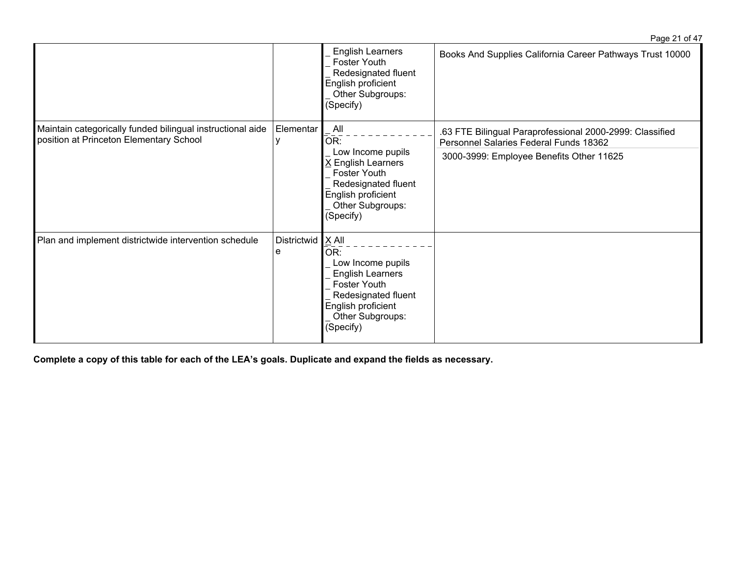|                                                                                                       |                  |                                                                                                                                                               | $-440 - 101$                                                                                       |
|-------------------------------------------------------------------------------------------------------|------------------|---------------------------------------------------------------------------------------------------------------------------------------------------------------|----------------------------------------------------------------------------------------------------|
|                                                                                                       |                  | <b>English Learners</b><br>Foster Youth<br>Redesignated fluent<br>English proficient<br>Other Subgroups:<br>(Specify)                                         | Books And Supplies California Career Pathways Trust 10000                                          |
| Maintain categorically funded bilingual instructional aide<br>position at Princeton Elementary School | Elementar        | All<br>OR:                                                                                                                                                    | .63 FTE Bilingual Paraprofessional 2000-2999: Classified<br>Personnel Salaries Federal Funds 18362 |
|                                                                                                       |                  | Low Income pupils<br>X English Learners<br>Foster Youth<br>Redesignated fluent<br>English proficient<br>Other Subgroups:<br>(Specify)                         | 3000-3999: Employee Benefits Other 11625                                                           |
| Plan and implement districtwide intervention schedule                                                 | Districtwid<br>е | $ X$ All<br>OR:<br>Low Income pupils<br><b>English Learners</b><br>Foster Youth<br>Redesignated fluent<br>English proficient<br>Other Subgroups:<br>(Specify) |                                                                                                    |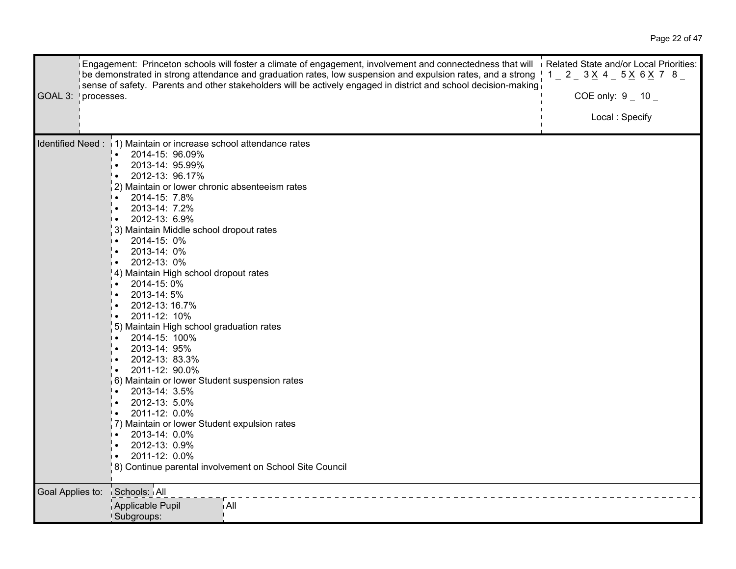| GOAL 3:          | Engagement: Princeton schools will foster a climate of engagement, involvement and connectedness that will Related State and/or Local Priorities:<br>be demonstrated in strong attendance and graduation rates, low suspension and expulsion rates, and a strong I<br>sense of safety. Parents and other stakeholders will be actively engaged in district and school decision-making<br>processes.                                                                                                                                                                                                                                                                                                                                                                                                                                                                                        | $1 - 2 - 3 \times 4 - 5 \times 6 \times 7$ 8<br>COE only: $9 - 10$<br>Local: Specify |  |
|------------------|--------------------------------------------------------------------------------------------------------------------------------------------------------------------------------------------------------------------------------------------------------------------------------------------------------------------------------------------------------------------------------------------------------------------------------------------------------------------------------------------------------------------------------------------------------------------------------------------------------------------------------------------------------------------------------------------------------------------------------------------------------------------------------------------------------------------------------------------------------------------------------------------|--------------------------------------------------------------------------------------|--|
|                  | Identified Need: 1) Maintain or increase school attendance rates<br>2014-15: 96.09%<br>$\bullet$<br>2013-14: 95.99%<br>2012-13: 96.17%<br>2) Maintain or lower chronic absenteeism rates<br>2014-15: 7.8%<br>╹∙<br>2013-14: 7.2%<br>2012-13: 6.9%<br>$\mathsf{I}$ .<br>3) Maintain Middle school dropout rates<br>2014-15: 0%<br>2013-14: 0%<br>2012-13: 0%<br>4) Maintain High school dropout rates<br>2014-15:0%<br>$\bullet$<br>2013-14:5%<br>2012-13: 16.7%<br>2011-12: 10%<br>∣∙<br>5) Maintain High school graduation rates<br>2014-15: 100%<br>2013-14: 95%<br>2012-13: 83.3%<br>⊩∙<br>2011-12: 90.0%<br>6) Maintain or lower Student suspension rates<br>2013-14: 3.5%<br>2012-13: 5.0%<br>2011-12: 0.0%<br>╹∙<br>7) Maintain or lower Student expulsion rates<br>2013-14: 0.0%<br>∣•<br>2012-13: 0.9%<br>2011-12: 0.0%<br>8) Continue parental involvement on School Site Council |                                                                                      |  |
| Goal Applies to: | Schools: All<br>Applicable Pupil<br>i All<br>Subgroups:                                                                                                                                                                                                                                                                                                                                                                                                                                                                                                                                                                                                                                                                                                                                                                                                                                    |                                                                                      |  |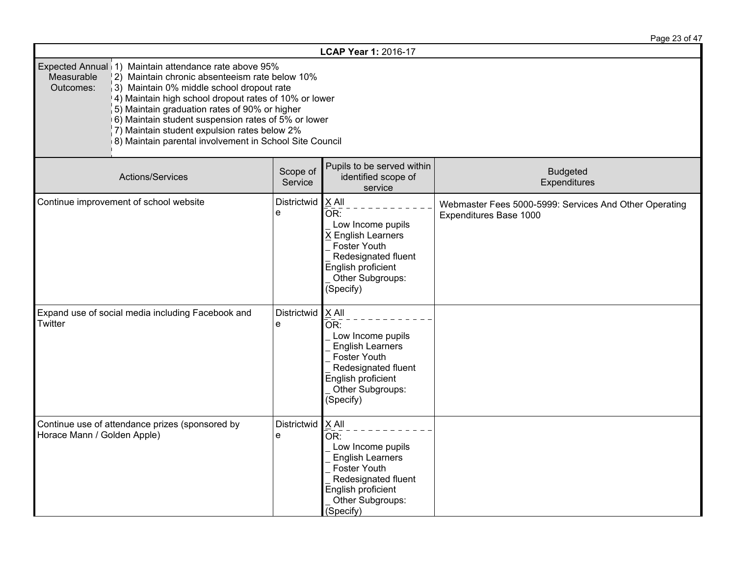|                                                                                                                                                                                                                                                                                                                                                                                                                                                                     |                     |                                                                                                                                                                                     | Page 23 of 47                                                                    |
|---------------------------------------------------------------------------------------------------------------------------------------------------------------------------------------------------------------------------------------------------------------------------------------------------------------------------------------------------------------------------------------------------------------------------------------------------------------------|---------------------|-------------------------------------------------------------------------------------------------------------------------------------------------------------------------------------|----------------------------------------------------------------------------------|
|                                                                                                                                                                                                                                                                                                                                                                                                                                                                     |                     | LCAP Year 1: 2016-17                                                                                                                                                                |                                                                                  |
| Expected Annual 1) Maintain attendance rate above 95%<br>Measurable<br>2) Maintain chronic absenteeism rate below 10%<br>Outcomes:<br>3) Maintain 0% middle school dropout rate<br>4) Maintain high school dropout rates of 10% or lower<br>5) Maintain graduation rates of 90% or higher<br>6) Maintain student suspension rates of 5% or lower<br>$\vert$ 7) Maintain student expulsion rates below 2%<br>8) Maintain parental involvement in School Site Council |                     |                                                                                                                                                                                     |                                                                                  |
| Actions/Services                                                                                                                                                                                                                                                                                                                                                                                                                                                    | Scope of<br>Service | Pupils to be served within<br>identified scope of<br>service                                                                                                                        | <b>Budgeted</b><br>Expenditures                                                  |
| Continue improvement of school website                                                                                                                                                                                                                                                                                                                                                                                                                              | Districtwid<br>e    | $X$ All<br>OR:<br>Low Income pupils<br>X English Learners<br>Foster Youth<br>Redesignated fluent<br>English proficient<br>Other Subgroups:<br>(Specify)                             | Webmaster Fees 5000-5999: Services And Other Operating<br>Expenditures Base 1000 |
| Expand use of social media including Facebook and<br>Twitter                                                                                                                                                                                                                                                                                                                                                                                                        | Districtwid<br>e    | $X$ All<br>OR:<br>Low Income pupils<br><b>English Learners</b><br><b>Foster Youth</b><br>Redesignated fluent<br>English proficient<br>Other Subgroups:<br>(Specify)                 |                                                                                  |
| Continue use of attendance prizes (sponsored by<br>Horace Mann / Golden Apple)                                                                                                                                                                                                                                                                                                                                                                                      | Districtwid<br>e    | $X$ All<br>$\overline{\mathsf{OR}}$ :<br>Low Income pupils<br><b>English Learners</b><br>Foster Youth<br>Redesignated fluent<br>English proficient<br>Other Subgroups:<br>(Specify) |                                                                                  |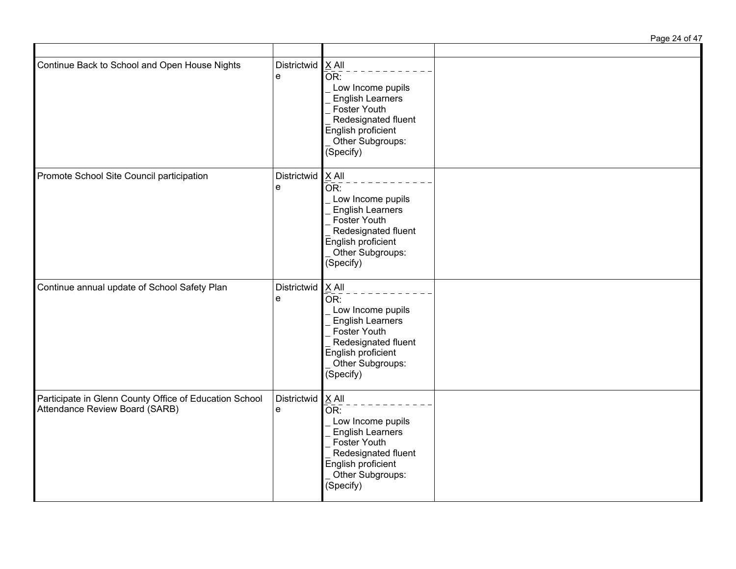| Continue Back to School and Open House Nights                                            | Districtwid<br>e | X All<br>OR:<br>Low Income pupils<br><b>English Learners</b><br><b>Foster Youth</b><br>Redesignated fluent<br>English proficient<br>Other Subgroups:<br>(Specify)              |  |
|------------------------------------------------------------------------------------------|------------------|--------------------------------------------------------------------------------------------------------------------------------------------------------------------------------|--|
| Promote School Site Council participation                                                | Districtwid<br>e | X All<br>$\bar{\mathsf{OR}}$ :<br>Low Income pupils<br><b>English Learners</b><br>Foster Youth<br>Redesignated fluent<br>English proficient<br>Other Subgroups:<br>(Specify)   |  |
| Continue annual update of School Safety Plan                                             | Districtwid<br>e | $X$ All<br>$\bar{\mathsf{OR}}$ :<br>Low Income pupils<br><b>English Learners</b><br>Foster Youth<br>Redesignated fluent<br>English proficient<br>Other Subgroups:<br>(Specify) |  |
| Participate in Glenn County Office of Education School<br>Attendance Review Board (SARB) | Districtwid<br>e | $X$ All<br>$\bar{\mathsf{OR}}$ :<br>Low Income pupils<br>English Learners<br>Foster Youth<br>Redesignated fluent<br>English proficient<br>Other Subgroups:<br>(Specify)        |  |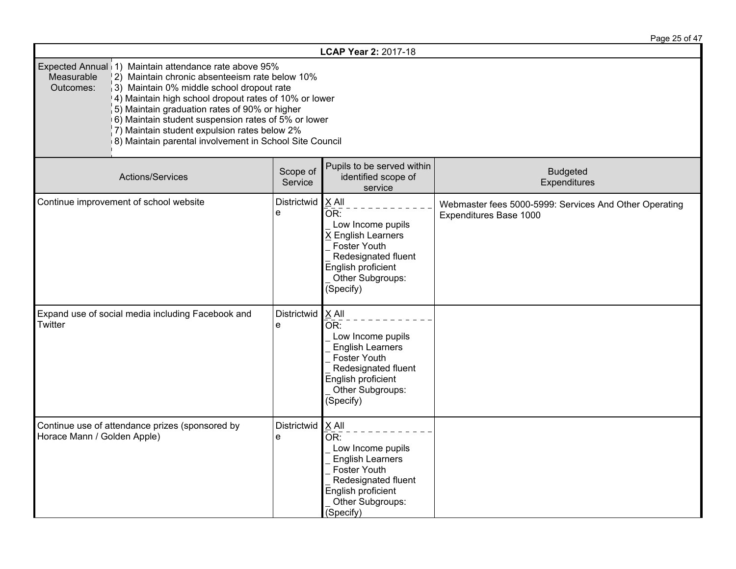|                                                                                                                                                                                                                                                                                                                                                                                                                                                                     |                     |                                                                                                                                                                     | Page 25 of 47                                                                    |
|---------------------------------------------------------------------------------------------------------------------------------------------------------------------------------------------------------------------------------------------------------------------------------------------------------------------------------------------------------------------------------------------------------------------------------------------------------------------|---------------------|---------------------------------------------------------------------------------------------------------------------------------------------------------------------|----------------------------------------------------------------------------------|
|                                                                                                                                                                                                                                                                                                                                                                                                                                                                     |                     | LCAP Year 2: 2017-18                                                                                                                                                |                                                                                  |
| Expected Annual 1) Maintain attendance rate above 95%<br>Measurable<br>2) Maintain chronic absenteeism rate below 10%<br>3) Maintain 0% middle school dropout rate<br>Outcomes:<br>4) Maintain high school dropout rates of 10% or lower<br>5) Maintain graduation rates of 90% or higher<br>6) Maintain student suspension rates of 5% or lower<br>$\vert$ 7) Maintain student expulsion rates below 2%<br>8) Maintain parental involvement in School Site Council |                     |                                                                                                                                                                     |                                                                                  |
| Actions/Services                                                                                                                                                                                                                                                                                                                                                                                                                                                    | Scope of<br>Service | Pupils to be served within<br>identified scope of<br>service                                                                                                        | <b>Budgeted</b><br>Expenditures                                                  |
| Continue improvement of school website                                                                                                                                                                                                                                                                                                                                                                                                                              | Districtwid<br>e    | $X$ All<br>OR:<br>Low Income pupils<br>X English Learners<br>Foster Youth<br>Redesignated fluent<br>English proficient<br>Other Subgroups:<br>(Specify)             | Webmaster fees 5000-5999: Services And Other Operating<br>Expenditures Base 1000 |
| Expand use of social media including Facebook and<br>Twitter                                                                                                                                                                                                                                                                                                                                                                                                        | Districtwid<br>e    | $X$ All<br>OR:<br>Low Income pupils<br><b>English Learners</b><br><b>Foster Youth</b><br>Redesignated fluent<br>English proficient<br>Other Subgroups:<br>(Specify) |                                                                                  |
| Continue use of attendance prizes (sponsored by<br>Horace Mann / Golden Apple)                                                                                                                                                                                                                                                                                                                                                                                      | Districtwid<br>e    | $X$ All<br>OR:<br>Low Income pupils<br><b>English Learners</b><br><b>Foster Youth</b><br>Redesignated fluent<br>English proficient<br>Other Subgroups:<br>(Specify) |                                                                                  |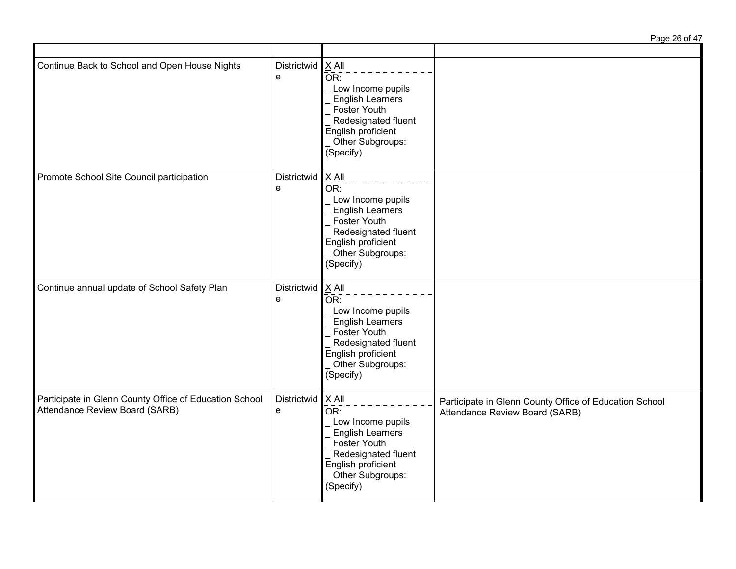| Continue Back to School and Open House Nights                                            | Districtwid<br>e       | $X$ All<br>$\bar{\mathsf{OR}}$ :<br>Low Income pupils<br><b>English Learners</b><br>Foster Youth<br>Redesignated fluent<br>English proficient<br>Other Subgroups:<br>(Specify)      |                                                                                          |
|------------------------------------------------------------------------------------------|------------------------|-------------------------------------------------------------------------------------------------------------------------------------------------------------------------------------|------------------------------------------------------------------------------------------|
| Promote School Site Council participation                                                | Districtwid X All<br>e | $\bar{\mathsf{OR}}$ :<br>Low Income pupils<br><b>English Learners</b><br>Foster Youth<br>Redesignated fluent<br>English proficient<br>Other Subgroups:<br>(Specify)                 |                                                                                          |
| Continue annual update of School Safety Plan                                             | Districtwid<br>e       | $X$ All<br>OR:<br>Low Income pupils<br><b>English Learners</b><br>Foster Youth<br>Redesignated fluent<br>English proficient<br>Other Subgroups:<br>(Specify)                        |                                                                                          |
| Participate in Glenn County Office of Education School<br>Attendance Review Board (SARB) | Districtwid<br>e       | $X$ All<br>$\overline{\mathsf{OR}}$ :<br>Low Income pupils<br><b>English Learners</b><br>Foster Youth<br>Redesignated fluent<br>English proficient<br>Other Subgroups:<br>(Specify) | Participate in Glenn County Office of Education School<br>Attendance Review Board (SARB) |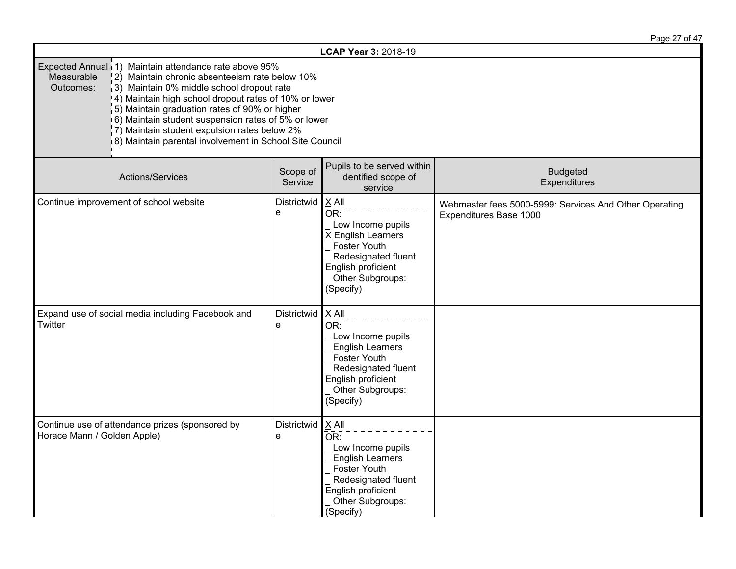|                                                                                                                                                                                                                                                                                                                                                                                                                                                                     |                     |                                                                                                                                                                                                 | Page 27 of 47                                                                    |
|---------------------------------------------------------------------------------------------------------------------------------------------------------------------------------------------------------------------------------------------------------------------------------------------------------------------------------------------------------------------------------------------------------------------------------------------------------------------|---------------------|-------------------------------------------------------------------------------------------------------------------------------------------------------------------------------------------------|----------------------------------------------------------------------------------|
|                                                                                                                                                                                                                                                                                                                                                                                                                                                                     |                     | LCAP Year 3: 2018-19                                                                                                                                                                            |                                                                                  |
| Expected Annual 1) Maintain attendance rate above 95%<br>Measurable<br>2) Maintain chronic absenteeism rate below 10%<br>3) Maintain 0% middle school dropout rate<br>Outcomes:<br>4) Maintain high school dropout rates of 10% or lower<br>5) Maintain graduation rates of 90% or higher<br>6) Maintain student suspension rates of 5% or lower<br>$\vert$ 7) Maintain student expulsion rates below 2%<br>8) Maintain parental involvement in School Site Council |                     |                                                                                                                                                                                                 |                                                                                  |
| Actions/Services                                                                                                                                                                                                                                                                                                                                                                                                                                                    | Scope of<br>Service | Pupils to be served within<br>identified scope of<br>service                                                                                                                                    | <b>Budgeted</b><br>Expenditures                                                  |
| Continue improvement of school website                                                                                                                                                                                                                                                                                                                                                                                                                              | Districtwid<br>e    | $X$ All<br>OR:<br>Low Income pupils<br>X English Learners<br>Foster Youth<br>Redesignated fluent<br>English proficient<br>Other Subgroups:<br>(Specify)                                         | Webmaster fees 5000-5999: Services And Other Operating<br>Expenditures Base 1000 |
| Expand use of social media including Facebook and<br>Twitter                                                                                                                                                                                                                                                                                                                                                                                                        | Districtwid<br>e    | X All<br>OR:<br>Low Income pupils<br><b>English Learners</b><br><b>Foster Youth</b><br>Redesignated fluent<br>English proficient<br>Other Subgroups:<br>(Specify)                               |                                                                                  |
| Continue use of attendance prizes (sponsored by<br>Horace Mann / Golden Apple)                                                                                                                                                                                                                                                                                                                                                                                      | Districtwid<br>e    | $\times$ All<br>$\overline{\mathsf{OR}}$ :<br>Low Income pupils<br><b>English Learners</b><br><b>Foster Youth</b><br>Redesignated fluent<br>English proficient<br>Other Subgroups:<br>(Specify) |                                                                                  |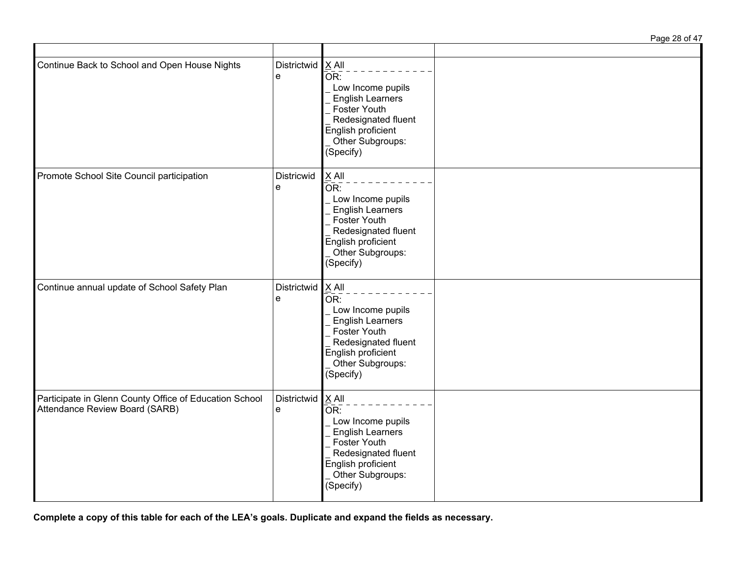| Continue Back to School and Open House Nights                                            | Districtwid<br>e         | $X$ All<br>$\overline{\mathsf{OR}}$ :<br>Low Income pupils<br><b>English Learners</b><br>Foster Youth<br>Redesignated fluent<br>English proficient<br>Other Subgroups:<br>(Specify)    |  |
|------------------------------------------------------------------------------------------|--------------------------|----------------------------------------------------------------------------------------------------------------------------------------------------------------------------------------|--|
| Promote School Site Council participation                                                | Districwid<br>e          | $\underline{X}$ All<br>$\overline{OR}$ :<br>Low Income pupils<br><b>English Learners</b><br>Foster Youth<br>Redesignated fluent<br>English proficient<br>Other Subgroups:<br>(Specify) |  |
| Continue annual update of School Safety Plan                                             | Districtwid $X$ All<br>e | OR:<br>Low Income pupils<br><b>English Learners</b><br>Foster Youth<br>Redesignated fluent<br>English proficient<br>Other Subgroups:<br>(Specify)                                      |  |
| Participate in Glenn County Office of Education School<br>Attendance Review Board (SARB) | <b>Districtwid</b><br>e  | $X$ All<br>$\overline{OR}$ :<br>Low Income pupils<br><b>English Learners</b><br>Foster Youth<br>Redesignated fluent<br>English proficient<br>Other Subgroups:<br>(Specify)             |  |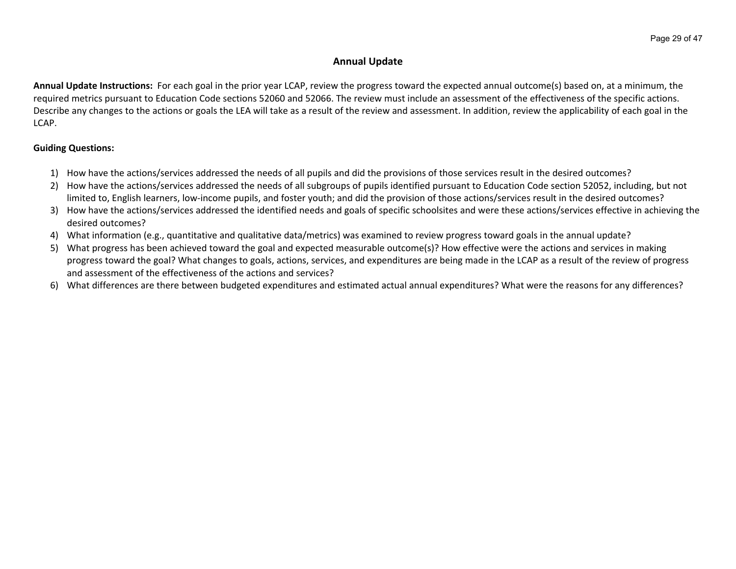# **Annual Update**

**Annual Update Instructions:** For each goal in the prior year LCAP, review the progress toward the expected annual outcome(s) based on, at a minimum, the required metrics pursuant to Education Code sections 52060 and 52066. The review must include an assessment of the effectiveness of the specific actions. Describe any changes to the actions or goals the LEA will take as a result of the review and assessment. In addition, review the applicability of each goal in the LCAP.

## **Guiding Questions:**

- 1) How have the actions/services addressed the needs of all pupils and did the provisions of those services result in the desired outcomes?
- 2) How have the actions/services addressed the needs of all subgroups of pupils identified pursuant to Education Code section 52052, including, but not limited to, English learners, low-income pupils, and foster youth; and did the provision of those actions/services result in the desired outcomes?
- 3) How have the actions/services addressed the identified needs and goals of specific schoolsites and were these actions/services effective in achieving the desired outcomes?
- 4) What information (e.g., quantitative and qualitative data/metrics) was examined to review progress toward goals in the annual update?
- 5) What progress has been achieved toward the goal and expected measurable outcome(s)? How effective were the actions and services in making progress toward the goal? What changes to goals, actions, services, and expenditures are being made in the LCAP as a result of the review of progress and assessment of the effectiveness of the actions and services?
- 6) What differences are there between budgeted expenditures and estimated actual annual expenditures? What were the reasons for any differences?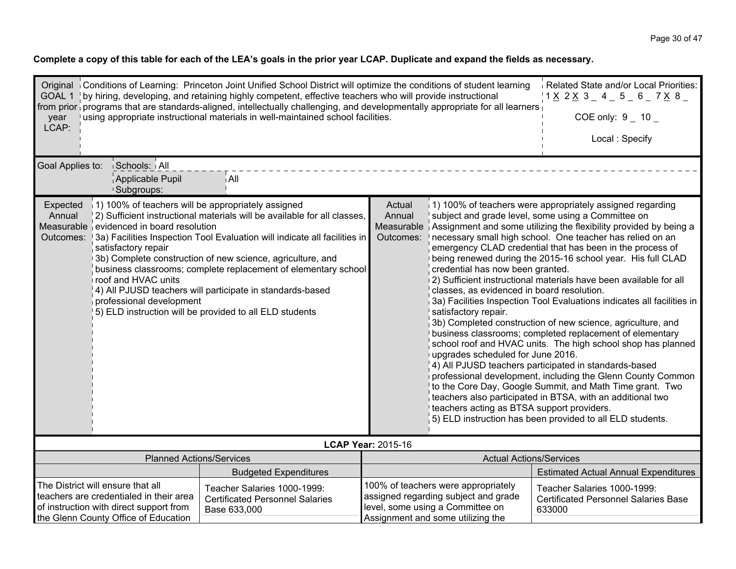| Related State and/or Local Priorities:<br>Original Conditions of Learning: Princeton Joint Unified School District will optimize the conditions of student learning<br>GOAL 1   by hiring, developing, and retaining highly competent, effective teachers who will provide instructional<br>$1 \times 2 \times 3 = 4 = 5 = 6 = 7 \times 8 =$<br>from prior programs that are standards-aligned, intellectually challenging, and developmentally appropriate for all learners<br>using appropriate instructional materials in well-maintained school facilities.<br>COE only: $9 - 10 -$<br>year<br>LCAP:                      |                                             |                                                                                                                                                                                           |                                                                                                                                                                                                                                                                                                                                                                                                                                                                                                                                                                                                                                                                                                                                                                                                                                                                                                                                                                                                                                        |                                                                                                                                     |  |
|-------------------------------------------------------------------------------------------------------------------------------------------------------------------------------------------------------------------------------------------------------------------------------------------------------------------------------------------------------------------------------------------------------------------------------------------------------------------------------------------------------------------------------------------------------------------------------------------------------------------------------|---------------------------------------------|-------------------------------------------------------------------------------------------------------------------------------------------------------------------------------------------|----------------------------------------------------------------------------------------------------------------------------------------------------------------------------------------------------------------------------------------------------------------------------------------------------------------------------------------------------------------------------------------------------------------------------------------------------------------------------------------------------------------------------------------------------------------------------------------------------------------------------------------------------------------------------------------------------------------------------------------------------------------------------------------------------------------------------------------------------------------------------------------------------------------------------------------------------------------------------------------------------------------------------------------|-------------------------------------------------------------------------------------------------------------------------------------|--|
|                                                                                                                                                                                                                                                                                                                                                                                                                                                                                                                                                                                                                               |                                             |                                                                                                                                                                                           |                                                                                                                                                                                                                                                                                                                                                                                                                                                                                                                                                                                                                                                                                                                                                                                                                                                                                                                                                                                                                                        | Local: Specify                                                                                                                      |  |
| Goal Applies to:<br><b>Schools: All</b><br>Applicable Pupil<br><sup>1</sup> Subgroups:                                                                                                                                                                                                                                                                                                                                                                                                                                                                                                                                        | i All                                       |                                                                                                                                                                                           |                                                                                                                                                                                                                                                                                                                                                                                                                                                                                                                                                                                                                                                                                                                                                                                                                                                                                                                                                                                                                                        |                                                                                                                                     |  |
| 1) 100% of teachers will be appropriately assigned<br>Expected<br>2) Sufficient instructional materials will be available for all classes,<br>Annual<br>Measurable evidenced in board resolution<br>[3a] Facilities Inspection Tool Evaluation will indicate all facilities in<br>Outcomes:<br>satisfactory repair<br>3b) Complete construction of new science, agriculture, and<br>business classrooms; complete replacement of elementary school<br>roof and HVAC units<br>4) All PJUSD teachers will participate in standards-based<br>professional development<br>5) ELD instruction will be provided to all ELD students | Actual<br>Annual<br>Measurable<br>Outcomes: | credential has now been granted.<br>classes, as evidenced in board resolution.<br>satisfactory repair.<br>upgrades scheduled for June 2016.<br>teachers acting as BTSA support providers. | 1) 100% of teachers were appropriately assigned regarding<br>subject and grade level, some using a Committee on<br>Assignment and some utilizing the flexibility provided by being a<br>necessary small high school. One teacher has relied on an<br>emergency CLAD credential that has been in the process of<br>being renewed during the 2015-16 school year. His full CLAD<br>2) Sufficient instructional materials have been available for all<br>3a) Facilities Inspection Tool Evaluations indicates all facilities in<br>3b) Completed construction of new science, agriculture, and<br>business classrooms; completed replacement of elementary<br>school roof and HVAC units. The high school shop has planned<br>4) All PJUSD teachers participated in standards-based<br>professional development, including the Glenn County Common<br>to the Core Day, Google Summit, and Math Time grant. Two<br>teachers also participated in BTSA, with an additional two<br>5) ELD instruction has been provided to all ELD students. |                                                                                                                                     |  |
|                                                                                                                                                                                                                                                                                                                                                                                                                                                                                                                                                                                                                               |                                             | <b>LCAP Year: 2015-16</b>                                                                                                                                                                 |                                                                                                                                                                                                                                                                                                                                                                                                                                                                                                                                                                                                                                                                                                                                                                                                                                                                                                                                                                                                                                        |                                                                                                                                     |  |
| <b>Planned Actions/Services</b>                                                                                                                                                                                                                                                                                                                                                                                                                                                                                                                                                                                               |                                             |                                                                                                                                                                                           | <b>Actual Actions/Services</b>                                                                                                                                                                                                                                                                                                                                                                                                                                                                                                                                                                                                                                                                                                                                                                                                                                                                                                                                                                                                         |                                                                                                                                     |  |
| <b>Budgeted Expenditures</b><br>The District will ensure that all<br>Teacher Salaries 1000-1999:<br>teachers are credentialed in their area<br><b>Certificated Personnel Salaries</b><br>of instruction with direct support from<br>Base 633,000<br>the Glenn County Office of Education                                                                                                                                                                                                                                                                                                                                      |                                             |                                                                                                                                                                                           | 100% of teachers were appropriately<br>assigned regarding subject and grade<br>level, some using a Committee on<br>Assignment and some utilizing the                                                                                                                                                                                                                                                                                                                                                                                                                                                                                                                                                                                                                                                                                                                                                                                                                                                                                   | <b>Estimated Actual Annual Expenditures</b><br>Teacher Salaries 1000-1999:<br><b>Certificated Personnel Salaries Base</b><br>633000 |  |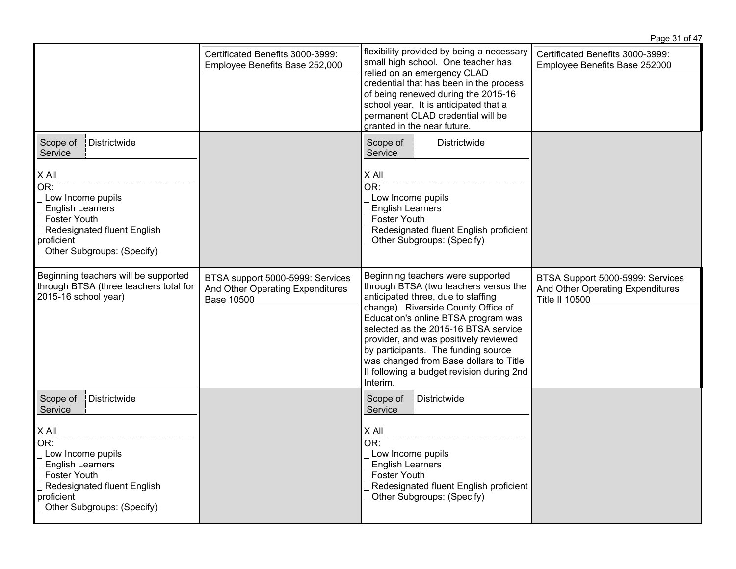|                                                                    |                                                                                                                                                                                                                                                                                                               | Page 31 of 47                                                     |
|--------------------------------------------------------------------|---------------------------------------------------------------------------------------------------------------------------------------------------------------------------------------------------------------------------------------------------------------------------------------------------------------|-------------------------------------------------------------------|
| Certificated Benefits 3000-3999:<br>Employee Benefits Base 252,000 | flexibility provided by being a necessary<br>small high school. One teacher has<br>relied on an emergency CLAD<br>credential that has been in the process<br>of being renewed during the 2015-16<br>school year. It is anticipated that a<br>permanent CLAD credential will be<br>granted in the near future. | Certificated Benefits 3000-3999:<br>Employee Benefits Base 252000 |
|                                                                    | Scope of<br>Districtwide<br>Service<br>$\underline{X}$ All<br>OR:<br>Low Income pupils<br><b>English Learners</b><br><b>Foster Youth</b><br>Redesignated fluent English proficient                                                                                                                            |                                                                   |

|                                                                                                   |                                                                                |                                                                                           | or peirig reflewed during the 2015-10<br>school year. It is anticipated that a<br>permanent CLAD credential will be<br>granted in the near future.                                                                                                                                                                                                                                                                        |                                                                                               |
|---------------------------------------------------------------------------------------------------|--------------------------------------------------------------------------------|-------------------------------------------------------------------------------------------|---------------------------------------------------------------------------------------------------------------------------------------------------------------------------------------------------------------------------------------------------------------------------------------------------------------------------------------------------------------------------------------------------------------------------|-----------------------------------------------------------------------------------------------|
| Scope of<br>Service                                                                               | Districtwide                                                                   |                                                                                           | Scope of<br>Districtwide<br>Service                                                                                                                                                                                                                                                                                                                                                                                       |                                                                                               |
| X All<br>OR:<br>Low Income pupils<br><b>English Learners</b><br><b>Foster Youth</b><br>proficient | Redesignated fluent English<br>Other Subgroups: (Specify)                      |                                                                                           | X All<br>OR:<br>Low Income pupils<br><b>English Learners</b><br><b>Foster Youth</b><br>Redesignated fluent English proficient<br>Other Subgroups: (Specify)                                                                                                                                                                                                                                                               |                                                                                               |
| 2015-16 school year)                                                                              | Beginning teachers will be supported<br>through BTSA (three teachers total for | BTSA support 5000-5999: Services<br>And Other Operating Expenditures<br><b>Base 10500</b> | Beginning teachers were supported<br>through BTSA (two teachers versus the<br>anticipated three, due to staffing<br>change). Riverside County Office of<br>Education's online BTSA program was<br>selected as the 2015-16 BTSA service<br>provider, and was positively reviewed<br>by participants. The funding source<br>was changed from Base dollars to Title<br>II following a budget revision during 2nd<br>Interim. | BTSA Support 5000-5999: Services<br>And Other Operating Expenditures<br><b>Title II 10500</b> |
| Scope of<br>Service                                                                               | Districtwide                                                                   |                                                                                           | Districtwide<br>Scope of<br>Service                                                                                                                                                                                                                                                                                                                                                                                       |                                                                                               |
| X All<br>OR:<br>Low Income pupils<br><b>English Learners</b><br><b>Foster Youth</b><br>proficient | Redesignated fluent English<br>Other Subgroups: (Specify)                      |                                                                                           | X All<br>OR:<br>Low Income pupils<br><b>English Learners</b><br><b>Foster Youth</b><br>Redesignated fluent English proficient<br>Other Subgroups: (Specify)                                                                                                                                                                                                                                                               |                                                                                               |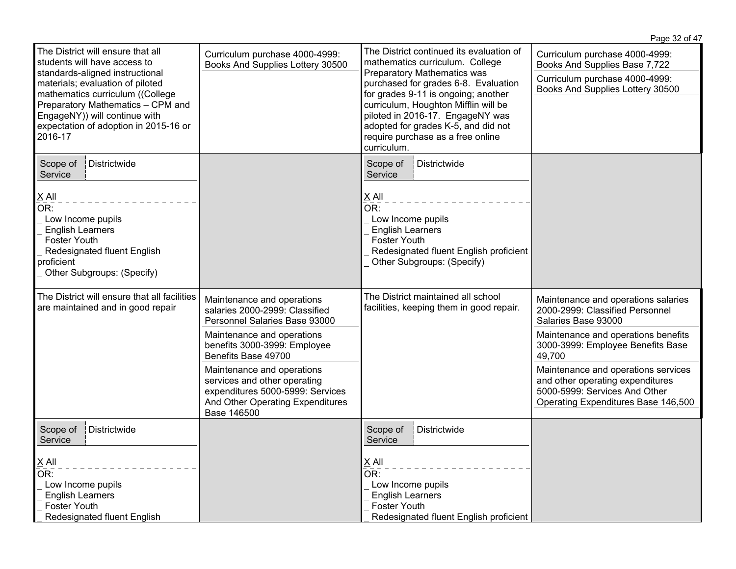|                                                                                                                                                                                                                                                                                                        |                                                                                                                                                                                                                                                                                                                                         |                                                                                                                                                                                                                                                                                                                                                                         | Page 32 of 47                                                                                                                                                                                                                                                                                                                          |
|--------------------------------------------------------------------------------------------------------------------------------------------------------------------------------------------------------------------------------------------------------------------------------------------------------|-----------------------------------------------------------------------------------------------------------------------------------------------------------------------------------------------------------------------------------------------------------------------------------------------------------------------------------------|-------------------------------------------------------------------------------------------------------------------------------------------------------------------------------------------------------------------------------------------------------------------------------------------------------------------------------------------------------------------------|----------------------------------------------------------------------------------------------------------------------------------------------------------------------------------------------------------------------------------------------------------------------------------------------------------------------------------------|
| The District will ensure that all<br>students will have access to<br>standards-aligned instructional<br>materials; evaluation of piloted<br>mathematics curriculum ((College<br>Preparatory Mathematics - CPM and<br>EngageNY)) will continue with<br>expectation of adoption in 2015-16 or<br>2016-17 | Curriculum purchase 4000-4999:<br>Books And Supplies Lottery 30500                                                                                                                                                                                                                                                                      | The District continued its evaluation of<br>mathematics curriculum. College<br><b>Preparatory Mathematics was</b><br>purchased for grades 6-8. Evaluation<br>for grades 9-11 is ongoing; another<br>curriculum, Houghton Mifflin will be<br>piloted in 2016-17. EngageNY was<br>adopted for grades K-5, and did not<br>require purchase as a free online<br>curriculum. | Curriculum purchase 4000-4999:<br>Books And Supplies Base 7,722<br>Curriculum purchase 4000-4999:<br>Books And Supplies Lottery 30500                                                                                                                                                                                                  |
| Districtwide<br>Scope of<br>Service<br>$\underline{\mathsf{X}}$ All<br>OR:<br>Low Income pupils<br><b>English Learners</b><br><b>Foster Youth</b><br>Redesignated fluent English<br>proficient<br>Other Subgroups: (Specify)                                                                           |                                                                                                                                                                                                                                                                                                                                         | Scope of<br>Districtwide<br>Service<br>X All<br>OR:<br>Low Income pupils<br><b>English Learners</b><br><b>Foster Youth</b><br>Redesignated fluent English proficient<br>Other Subgroups: (Specify)                                                                                                                                                                      |                                                                                                                                                                                                                                                                                                                                        |
| The District will ensure that all facilities<br>are maintained and in good repair                                                                                                                                                                                                                      | Maintenance and operations<br>salaries 2000-2999: Classified<br>Personnel Salaries Base 93000<br>Maintenance and operations<br>benefits 3000-3999: Employee<br>Benefits Base 49700<br>Maintenance and operations<br>services and other operating<br>expenditures 5000-5999: Services<br>And Other Operating Expenditures<br>Base 146500 | The District maintained all school<br>facilities, keeping them in good repair.                                                                                                                                                                                                                                                                                          | Maintenance and operations salaries<br>2000-2999: Classified Personnel<br>Salaries Base 93000<br>Maintenance and operations benefits<br>3000-3999: Employee Benefits Base<br>49,700<br>Maintenance and operations services<br>and other operating expenditures<br>5000-5999: Services And Other<br>Operating Expenditures Base 146,500 |
| Scope of<br>Districtwide<br>Service<br>$X$ All<br>OR:<br>Low Income pupils<br><b>English Learners</b><br><b>Foster Youth</b><br>Redesignated fluent English                                                                                                                                            |                                                                                                                                                                                                                                                                                                                                         | Scope of<br>Districtwide<br>Service<br>$X$ All<br>OR:<br>Low Income pupils<br><b>English Learners</b><br>Foster Youth<br>Redesignated fluent English proficient                                                                                                                                                                                                         |                                                                                                                                                                                                                                                                                                                                        |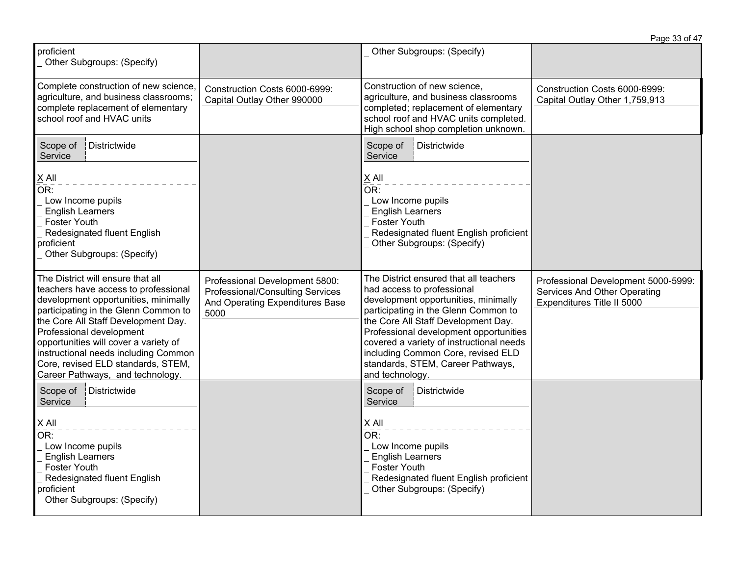|                                                                                                                                                                                                                                                                                                                                                                                         |                                                                                                                      |                                                                                                                                                                                                                                                                                                                                                                                 | Page 33 of 47                                                                                     |
|-----------------------------------------------------------------------------------------------------------------------------------------------------------------------------------------------------------------------------------------------------------------------------------------------------------------------------------------------------------------------------------------|----------------------------------------------------------------------------------------------------------------------|---------------------------------------------------------------------------------------------------------------------------------------------------------------------------------------------------------------------------------------------------------------------------------------------------------------------------------------------------------------------------------|---------------------------------------------------------------------------------------------------|
| proficient<br>Other Subgroups: (Specify)                                                                                                                                                                                                                                                                                                                                                |                                                                                                                      | Other Subgroups: (Specify)                                                                                                                                                                                                                                                                                                                                                      |                                                                                                   |
| Complete construction of new science,<br>agriculture, and business classrooms;<br>complete replacement of elementary<br>school roof and HVAC units                                                                                                                                                                                                                                      | Construction Costs 6000-6999:<br>Capital Outlay Other 990000                                                         | Construction of new science,<br>agriculture, and business classrooms<br>completed; replacement of elementary<br>school roof and HVAC units completed.<br>High school shop completion unknown.                                                                                                                                                                                   | Construction Costs 6000-6999:<br>Capital Outlay Other 1,759,913                                   |
| Scope of<br>Districtwide<br>Service                                                                                                                                                                                                                                                                                                                                                     |                                                                                                                      | Scope of<br>Districtwide<br>Service                                                                                                                                                                                                                                                                                                                                             |                                                                                                   |
| $\times$ All<br>OR:<br>Low Income pupils<br><b>English Learners</b><br><b>Foster Youth</b><br>Redesignated fluent English<br>proficient<br>Other Subgroups: (Specify)                                                                                                                                                                                                                   |                                                                                                                      | X All<br>OR:<br>Low Income pupils<br><b>English Learners</b><br>Foster Youth<br>Redesignated fluent English proficient<br>Other Subgroups: (Specify)                                                                                                                                                                                                                            |                                                                                                   |
| The District will ensure that all<br>teachers have access to professional<br>development opportunities, minimally<br>participating in the Glenn Common to<br>the Core All Staff Development Day.<br>Professional development<br>opportunities will cover a variety of<br>instructional needs including Common<br>Core, revised ELD standards, STEM,<br>Career Pathways, and technology. | Professional Development 5800:<br><b>Professional/Consulting Services</b><br>And Operating Expenditures Base<br>5000 | The District ensured that all teachers<br>had access to professional<br>development opportunities, minimally<br>participating in the Glenn Common to<br>the Core All Staff Development Day.<br>Professional development opportunities<br>covered a variety of instructional needs<br>including Common Core, revised ELD<br>standards, STEM, Career Pathways,<br>and technology. | Professional Development 5000-5999:<br>Services And Other Operating<br>Expenditures Title II 5000 |
| Districtwide<br>Scope of<br>Service<br>$X$ All<br>OR:<br>Low Income pupils<br><b>English Learners</b><br><b>Foster Youth</b><br>Redesignated fluent English<br>proficient<br>Other Subgroups: (Specify)                                                                                                                                                                                 |                                                                                                                      | Scope of<br>Districtwide<br>Service<br>$X$ All<br>OR:<br>Low Income pupils<br><b>English Learners</b><br><b>Foster Youth</b><br>Redesignated fluent English proficient<br>Other Subgroups: (Specify)                                                                                                                                                                            |                                                                                                   |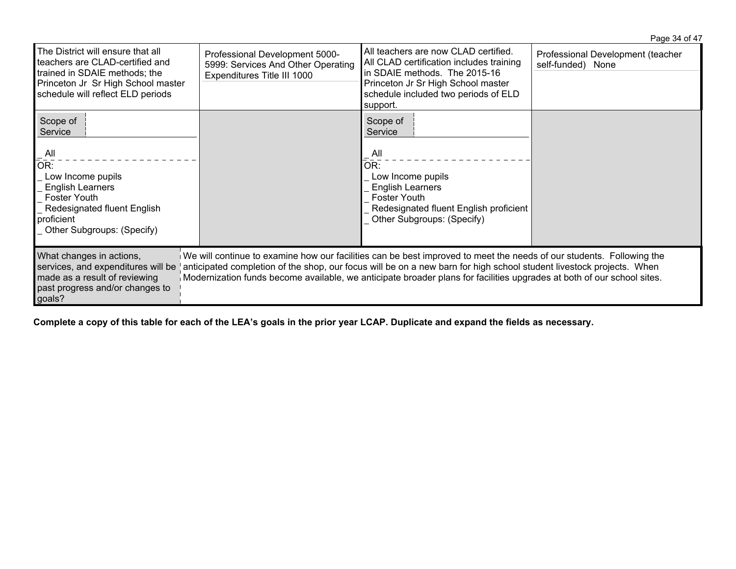|                                                                                                                                                                                         |                                                                                                     |                                                                                                                                                                                                                                                                                                                                                                        | Page 34 of 47                                          |
|-----------------------------------------------------------------------------------------------------------------------------------------------------------------------------------------|-----------------------------------------------------------------------------------------------------|------------------------------------------------------------------------------------------------------------------------------------------------------------------------------------------------------------------------------------------------------------------------------------------------------------------------------------------------------------------------|--------------------------------------------------------|
| The District will ensure that all<br>teachers are CLAD-certified and<br>trained in SDAIE methods; the<br>Princeton Jr Sr High School master<br>schedule will reflect ELD periods        | Professional Development 5000-<br>5999: Services And Other Operating<br>Expenditures Title III 1000 | All teachers are now CLAD certified.<br>All CLAD certification includes training<br>in SDAIE methods. The 2015-16<br>Princeton Jr Sr High School master<br>schedule included two periods of ELD<br>support.                                                                                                                                                            | Professional Development (teacher<br>self-funded) None |
| Scope of<br>Service<br>$\mathsf{All}$<br>OR:<br>Low Income pupils<br><b>English Learners</b><br>Foster Youth<br>Redesignated fluent English<br>proficient<br>Other Subgroups: (Specify) |                                                                                                     | Scope of<br>Service<br>. All<br>OR:<br>Low Income pupils<br><b>English Learners</b><br><b>Foster Youth</b><br>Redesignated fluent English proficient<br>Other Subgroups: (Specify)                                                                                                                                                                                     |                                                        |
| What changes in actions,<br>services, and expenditures will be<br>made as a result of reviewing<br>past progress and/or changes to<br>goals?                                            |                                                                                                     | We will continue to examine how our facilities can be best improved to meet the needs of our students. Following the<br>anticipated completion of the shop, our focus will be on a new barn for high school student livestock projects. When<br>Modernization funds become available, we anticipate broader plans for facilities upgrades at both of our school sites. |                                                        |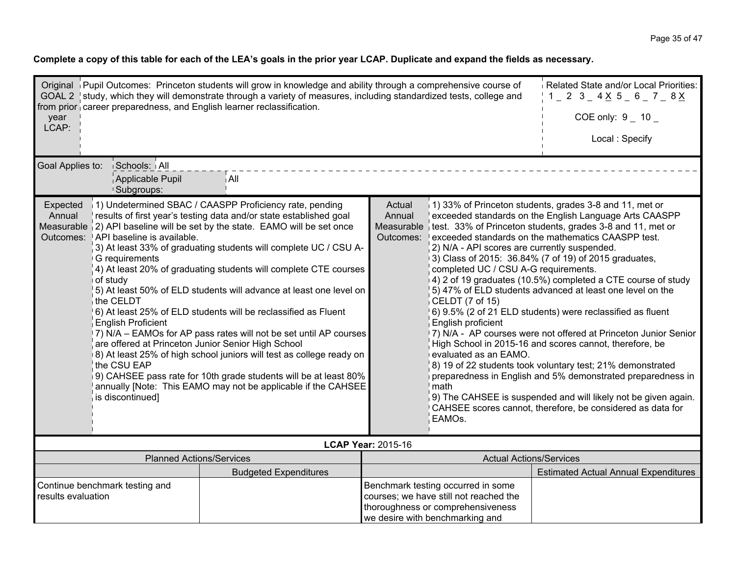| Original Pupil Outcomes: Princeton students will grow in knowledge and ability through a comprehensive course of<br>GOAL 2 study, which they will demonstrate through a variety of measures, including standardized tests, college and<br>from prior career preparedness, and English learner reclassification.<br>year<br>LCAP:<br>Goal Applies to:<br>Schools: All | Related State and/or Local Priorities:<br>$1 - 2$ 3 $-$ 4 $\times$ 5 $-$ 6 $-$ 7 $-$ 8 $\times$<br>COE only: $9 - 10 -$<br>Local: Specify                                                                                                                                                                                                                                                                                                                                                                                                                                                                                                                                                                                                             |                                             |                                                                                                                                                                          |                                                                                                                                                                                                                                                                                                                                                                                                                                                                                                                                                                                                                                                                                                                                                                                                                                                                                      |
|----------------------------------------------------------------------------------------------------------------------------------------------------------------------------------------------------------------------------------------------------------------------------------------------------------------------------------------------------------------------|-------------------------------------------------------------------------------------------------------------------------------------------------------------------------------------------------------------------------------------------------------------------------------------------------------------------------------------------------------------------------------------------------------------------------------------------------------------------------------------------------------------------------------------------------------------------------------------------------------------------------------------------------------------------------------------------------------------------------------------------------------|---------------------------------------------|--------------------------------------------------------------------------------------------------------------------------------------------------------------------------|--------------------------------------------------------------------------------------------------------------------------------------------------------------------------------------------------------------------------------------------------------------------------------------------------------------------------------------------------------------------------------------------------------------------------------------------------------------------------------------------------------------------------------------------------------------------------------------------------------------------------------------------------------------------------------------------------------------------------------------------------------------------------------------------------------------------------------------------------------------------------------------|
| Applicable Pupil<br><sup>1</sup> Subgroups:                                                                                                                                                                                                                                                                                                                          | ∫ All                                                                                                                                                                                                                                                                                                                                                                                                                                                                                                                                                                                                                                                                                                                                                 |                                             |                                                                                                                                                                          |                                                                                                                                                                                                                                                                                                                                                                                                                                                                                                                                                                                                                                                                                                                                                                                                                                                                                      |
| Expected<br>Annual<br>Measurable 2) API baseline will be set by the state. EAMO will be set once<br>API baseline is available.<br>Outcomes:<br>G requirements<br>of study<br>the CELDT<br><b>English Proficient</b><br>the CSU EAP<br>is discontinued]                                                                                                               | 1) Undetermined SBAC / CAASPP Proficiency rate, pending<br>results of first year's testing data and/or state established goal<br>3) At least 33% of graduating students will complete UC / CSU A-<br>4) At least 20% of graduating students will complete CTE courses<br>5) At least 50% of ELD students will advance at least one level on<br>6) At least 25% of ELD students will be reclassified as Fluent<br>7) N/A - EAMOs for AP pass rates will not be set until AP courses<br>are offered at Princeton Junior Senior High School<br>8) At least 25% of high school juniors will test as college ready on<br>9) CAHSEE pass rate for 10th grade students will be at least 80%<br>annually [Note: This EAMO may not be applicable if the CAHSEE | Actual<br>Annual<br>Measurable<br>Outcomes: | 2) N/A - API scores are currently suspended.<br>completed UC / CSU A-G requirements.<br>CELDT (7 of 15)<br>English proficient<br>evaluated as an EAMO.<br>math<br>EAMOs. | 1) 33% of Princeton students, grades 3-8 and 11, met or<br>exceeded standards on the English Language Arts CAASPP<br>test. 33% of Princeton students, grades 3-8 and 11, met or<br>exceeded standards on the mathematics CAASPP test.<br>3) Class of 2015: 36.84% (7 of 19) of 2015 graduates,<br>4) 2 of 19 graduates (10.5%) completed a CTE course of study<br>5) 47% of ELD students advanced at least one level on the<br>6) 9.5% (2 of 21 ELD students) were reclassified as fluent<br>7) N/A - AP courses were not offered at Princeton Junior Senior<br>High School in 2015-16 and scores cannot, therefore, be<br>8) 19 of 22 students took voluntary test; 21% demonstrated<br>preparedness in English and 5% demonstrated preparedness in<br>9) The CAHSEE is suspended and will likely not be given again.<br>CAHSEE scores cannot, therefore, be considered as data for |
|                                                                                                                                                                                                                                                                                                                                                                      |                                                                                                                                                                                                                                                                                                                                                                                                                                                                                                                                                                                                                                                                                                                                                       | <b>LCAP Year: 2015-16</b>                   |                                                                                                                                                                          |                                                                                                                                                                                                                                                                                                                                                                                                                                                                                                                                                                                                                                                                                                                                                                                                                                                                                      |
| <b>Planned Actions/Services</b>                                                                                                                                                                                                                                                                                                                                      |                                                                                                                                                                                                                                                                                                                                                                                                                                                                                                                                                                                                                                                                                                                                                       | <b>Actual Actions/Services</b>              | <b>Estimated Actual Annual Expenditures</b>                                                                                                                              |                                                                                                                                                                                                                                                                                                                                                                                                                                                                                                                                                                                                                                                                                                                                                                                                                                                                                      |
| Continue benchmark testing and<br>results evaluation                                                                                                                                                                                                                                                                                                                 | <b>Budgeted Expenditures</b>                                                                                                                                                                                                                                                                                                                                                                                                                                                                                                                                                                                                                                                                                                                          |                                             | Benchmark testing occurred in some<br>courses; we have still not reached the<br>thoroughness or comprehensiveness<br>we desire with benchmarking and                     |                                                                                                                                                                                                                                                                                                                                                                                                                                                                                                                                                                                                                                                                                                                                                                                                                                                                                      |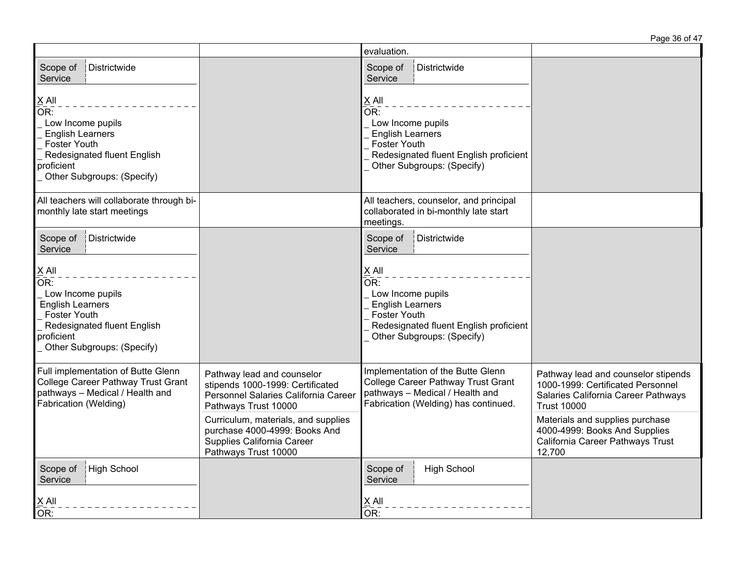|                                                                                                                                                                         |                                                                                                                                | evaluation.                                                                                                                                                                 |                                                                                                                                       |
|-------------------------------------------------------------------------------------------------------------------------------------------------------------------------|--------------------------------------------------------------------------------------------------------------------------------|-----------------------------------------------------------------------------------------------------------------------------------------------------------------------------|---------------------------------------------------------------------------------------------------------------------------------------|
| Districtwide<br>Scope of<br>Service                                                                                                                                     |                                                                                                                                | Districtwide<br>Scope of<br>Service                                                                                                                                         |                                                                                                                                       |
| $\underline{X}$ All<br>OR:<br>Low Income pupils<br><b>English Learners</b><br>Foster Youth<br>Redesignated fluent English<br>proficient<br>Other Subgroups: (Specify)   |                                                                                                                                | $X$ All<br>$\overline{OR}$ :<br>Low Income pupils<br><b>English Learners</b><br><b>Foster Youth</b><br>Redesignated fluent English proficient<br>Other Subgroups: (Specify) |                                                                                                                                       |
| All teachers will collaborate through bi-<br>monthly late start meetings                                                                                                |                                                                                                                                | All teachers, counselor, and principal<br>collaborated in bi-monthly late start<br>meetings.                                                                                |                                                                                                                                       |
| Districtwide<br>Scope of<br>Service                                                                                                                                     |                                                                                                                                | Districtwide<br>Scope of<br>Service                                                                                                                                         |                                                                                                                                       |
| $X$ All<br>$\overline{OR}$ :<br>Low Income pupils<br><b>English Learners</b><br>Foster Youth<br>Redesignated fluent English<br>proficient<br>Other Subgroups: (Specify) |                                                                                                                                | $\underline{X}$ All<br>OR:<br>Low Income pupils<br><b>English Learners</b><br>Foster Youth<br>Redesignated fluent English proficient<br>Other Subgroups: (Specify)          |                                                                                                                                       |
| Full implementation of Butte Glenn<br>College Career Pathway Trust Grant<br>pathways - Medical / Health and<br>Fabrication (Welding)                                    | Pathway lead and counselor<br>stipends 1000-1999: Certificated<br>Personnel Salaries California Career<br>Pathways Trust 10000 | Implementation of the Butte Glenn<br><b>College Career Pathway Trust Grant</b><br>pathways - Medical / Health and<br>Fabrication (Welding) has continued.                   | Pathway lead and counselor stipends<br>1000-1999: Certificated Personnel<br>Salaries California Career Pathways<br><b>Trust 10000</b> |
|                                                                                                                                                                         | Curriculum, materials, and supplies<br>purchase 4000-4999: Books And<br>Supplies California Career<br>Pathways Trust 10000     |                                                                                                                                                                             | Materials and supplies purchase<br>4000-4999: Books And Supplies<br>California Career Pathways Trust<br>12,700                        |
| High School<br>Scope of<br>Service                                                                                                                                      |                                                                                                                                | <b>High School</b><br>Scope of<br>Service                                                                                                                                   |                                                                                                                                       |
| $X$ All<br>OR:                                                                                                                                                          |                                                                                                                                | $\underline{X}$ All<br>OR:                                                                                                                                                  |                                                                                                                                       |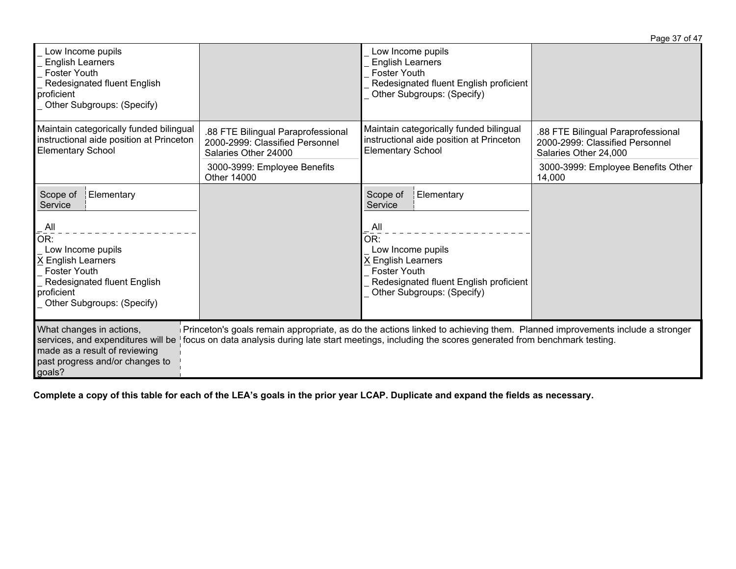| Low Income pupils<br><b>English Learners</b><br><b>Foster Youth</b><br>Redesignated fluent English<br>proficient<br>Other Subgroups: (Specify)          |                                                                                               | Low Income pupils<br><b>English Learners</b><br><b>Foster Youth</b><br>Redesignated fluent English proficient<br>Other Subgroups: (Specify)                                                                                            |                                                                                                |
|---------------------------------------------------------------------------------------------------------------------------------------------------------|-----------------------------------------------------------------------------------------------|----------------------------------------------------------------------------------------------------------------------------------------------------------------------------------------------------------------------------------------|------------------------------------------------------------------------------------------------|
| Maintain categorically funded bilingual<br>instructional aide position at Princeton<br><b>Elementary School</b>                                         | .88 FTE Bilingual Paraprofessional<br>2000-2999: Classified Personnel<br>Salaries Other 24000 | Maintain categorically funded bilingual<br>instructional aide position at Princeton<br><b>Elementary School</b>                                                                                                                        | .88 FTE Bilingual Paraprofessional<br>2000-2999: Classified Personnel<br>Salaries Other 24,000 |
|                                                                                                                                                         | 3000-3999: Employee Benefits<br>Other 14000                                                   |                                                                                                                                                                                                                                        | 3000-3999: Employee Benefits Other<br>14,000                                                   |
| Scope of<br>Elementary<br>Service                                                                                                                       |                                                                                               | Scope of<br>Elementary<br>Service                                                                                                                                                                                                      |                                                                                                |
| All<br>OR:<br>Low Income pupils<br>X English Learners<br><b>Foster Youth</b><br>Redesignated fluent English<br>proficient<br>Other Subgroups: (Specify) |                                                                                               | All<br>OR:<br>Low Income pupils<br>X English Learners<br><b>Foster Youth</b><br>Redesignated fluent English proficient<br>Other Subgroups: (Specify)                                                                                   |                                                                                                |
| What changes in actions,<br>services, and expenditures will be<br>made as a result of reviewing<br>past progress and/or changes to<br>goals?            |                                                                                               | Princeton's goals remain appropriate, as do the actions linked to achieving them. Planned improvements include a stronger<br>focus on data analysis during late start meetings, including the scores generated from benchmark testing. |                                                                                                |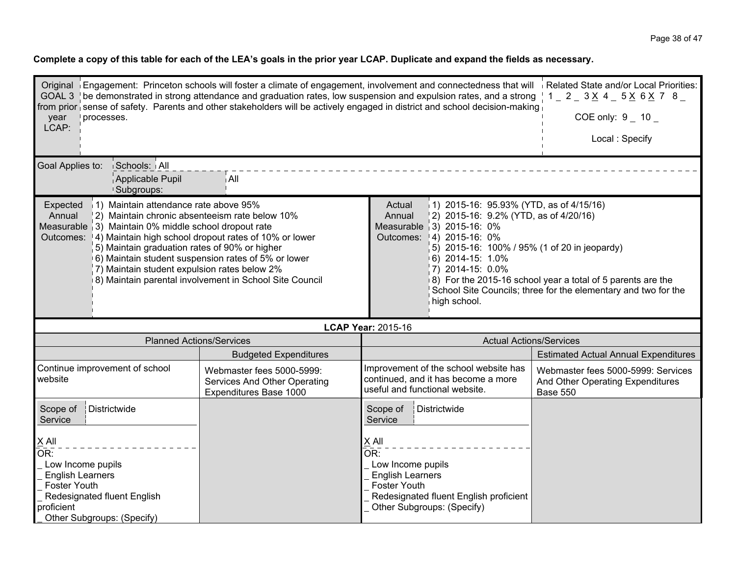| GOAL 3   be demonstrated in strong attendance and graduation rates, low suspension and expulsion rates, and a strong   1 _ 2 _ 3 $\times$ 4 _ 5 $\times$ 6 $\times$ 7 8 _<br>from prior sense of safety. Parents and other stakeholders will be actively engaged in district and school decision-making                                                                                                                                                                                                                                                                                                                                                                                                                                                                                                                                                                                                 | Original Engagement: Princeton schools will foster a climate of engagement, involvement and connectedness that will Related State and/or Local Priorities: |                                                                                                                                                                                      |                                                                                                                                          |  |  |  |  |
|---------------------------------------------------------------------------------------------------------------------------------------------------------------------------------------------------------------------------------------------------------------------------------------------------------------------------------------------------------------------------------------------------------------------------------------------------------------------------------------------------------------------------------------------------------------------------------------------------------------------------------------------------------------------------------------------------------------------------------------------------------------------------------------------------------------------------------------------------------------------------------------------------------|------------------------------------------------------------------------------------------------------------------------------------------------------------|--------------------------------------------------------------------------------------------------------------------------------------------------------------------------------------|------------------------------------------------------------------------------------------------------------------------------------------|--|--|--|--|
| processes.<br>year<br>LCAP:                                                                                                                                                                                                                                                                                                                                                                                                                                                                                                                                                                                                                                                                                                                                                                                                                                                                             | COE only: $9 - 10 -$                                                                                                                                       |                                                                                                                                                                                      |                                                                                                                                          |  |  |  |  |
|                                                                                                                                                                                                                                                                                                                                                                                                                                                                                                                                                                                                                                                                                                                                                                                                                                                                                                         | Local: Specify                                                                                                                                             |                                                                                                                                                                                      |                                                                                                                                          |  |  |  |  |
| Goal Applies to:<br>Schools: All<br>Applicable Pupil                                                                                                                                                                                                                                                                                                                                                                                                                                                                                                                                                                                                                                                                                                                                                                                                                                                    | ∣ All                                                                                                                                                      |                                                                                                                                                                                      |                                                                                                                                          |  |  |  |  |
| <sup>1</sup> Subgroups:<br>11) Maintain attendance rate above 95%<br>1) 2015-16: 95.93% (YTD, as of 4/15/16)<br>Expected<br>Actual<br>$(2)$ 2015-16: 9.2% (YTD, as of 4/20/16)<br>Annual<br>2) Maintain chronic absenteeism rate below 10%<br>Annual<br>Measurable (3) Maintain 0% middle school dropout rate<br>Measurable 3) 2015-16: 0%<br>Outcomes: 14) Maintain high school dropout rates of 10% or lower<br>Outcomes: 14) 2015-16: 0%<br>5) Maintain graduation rates of 90% or higher<br>5) 2015-16: 100% / 95% (1 of 20 in jeopardy)<br>6) Maintain student suspension rates of 5% or lower<br>6) 2014-15: 1.0%<br>7) Maintain student expulsion rates below 2%<br>7) 2014-15: 0.0%<br>8) Maintain parental involvement in School Site Council<br>8) For the 2015-16 school year a total of 5 parents are the<br>School Site Councils; three for the elementary and two for the<br>high school. |                                                                                                                                                            |                                                                                                                                                                                      |                                                                                                                                          |  |  |  |  |
|                                                                                                                                                                                                                                                                                                                                                                                                                                                                                                                                                                                                                                                                                                                                                                                                                                                                                                         |                                                                                                                                                            | <b>LCAP Year: 2015-16</b>                                                                                                                                                            |                                                                                                                                          |  |  |  |  |
|                                                                                                                                                                                                                                                                                                                                                                                                                                                                                                                                                                                                                                                                                                                                                                                                                                                                                                         | <b>Planned Actions/Services</b>                                                                                                                            | <b>Actual Actions/Services</b>                                                                                                                                                       |                                                                                                                                          |  |  |  |  |
| Continue improvement of school<br>website                                                                                                                                                                                                                                                                                                                                                                                                                                                                                                                                                                                                                                                                                                                                                                                                                                                               | <b>Budgeted Expenditures</b><br>Webmaster fees 5000-5999:<br>Services And Other Operating<br>Expenditures Base 1000                                        | Improvement of the school website has<br>continued, and it has become a more<br>useful and functional website.                                                                       | <b>Estimated Actual Annual Expenditures</b><br>Webmaster fees 5000-5999: Services<br>And Other Operating Expenditures<br><b>Base 550</b> |  |  |  |  |
| Districtwide<br>Scope of<br>Service                                                                                                                                                                                                                                                                                                                                                                                                                                                                                                                                                                                                                                                                                                                                                                                                                                                                     |                                                                                                                                                            | Scope of<br>Districtwide<br>Service                                                                                                                                                  |                                                                                                                                          |  |  |  |  |
| $\underline{X}$ All<br>OR:<br>Low Income pupils<br><b>English Learners</b><br><b>Foster Youth</b><br>Redesignated fluent English<br>proficient<br>Other Subgroups: (Specify)                                                                                                                                                                                                                                                                                                                                                                                                                                                                                                                                                                                                                                                                                                                            |                                                                                                                                                            | $X$ All<br>$\overline{\mathsf{OR}}$ :<br>Low Income pupils<br><b>English Learners</b><br><b>Foster Youth</b><br>Redesignated fluent English proficient<br>Other Subgroups: (Specify) |                                                                                                                                          |  |  |  |  |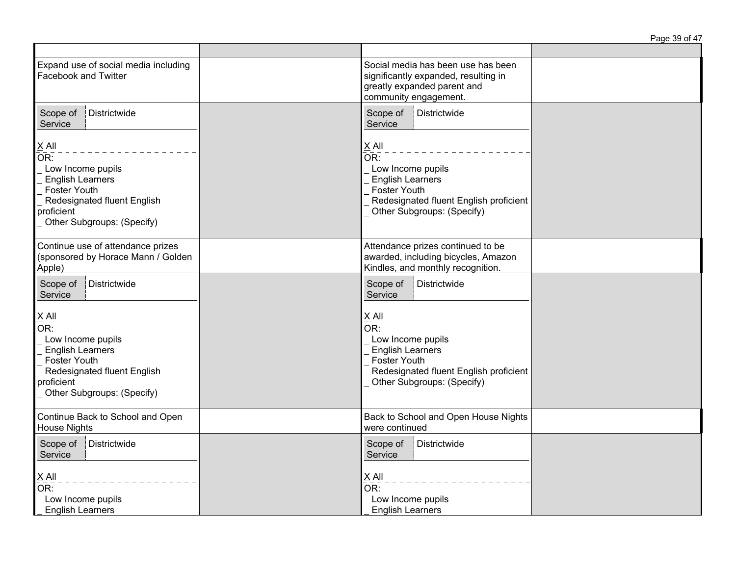|                                                                                                                                                                                       |                                                                                                                                                               | Page 39 of 47 |
|---------------------------------------------------------------------------------------------------------------------------------------------------------------------------------------|---------------------------------------------------------------------------------------------------------------------------------------------------------------|---------------|
| Expand use of social media including<br>Facebook and Twitter                                                                                                                          | Social media has been use has been<br>significantly expanded, resulting in<br>greatly expanded parent and<br>community engagement.                            |               |
| Districtwide<br>Scope of<br>Service                                                                                                                                                   | Scope of<br>Districtwide<br>Service                                                                                                                           |               |
| $\underline{X}$ All<br>OR:<br>Low Income pupils<br><b>English Learners</b><br><b>Foster Youth</b><br>Redesignated fluent English<br>proficient<br>Other Subgroups: (Specify)          | $X$ All<br>OR:<br>Low Income pupils<br><b>English Learners</b><br><b>Foster Youth</b><br>Redesignated fluent English proficient<br>Other Subgroups: (Specify) |               |
| Continue use of attendance prizes<br>(sponsored by Horace Mann / Golden<br>Apple)                                                                                                     | Attendance prizes continued to be<br>awarded, including bicycles, Amazon<br>Kindles, and monthly recognition.                                                 |               |
| Districtwide<br>Scope of<br>Service                                                                                                                                                   | Districtwide<br>Scope of<br>Service                                                                                                                           |               |
| $\times$ All<br>$\overline{\mathsf{OR}}$ :<br>Low Income pupils<br><b>English Learners</b><br>Foster Youth<br>Redesignated fluent English<br>proficient<br>Other Subgroups: (Specify) | $X$ All<br>OR:<br>Low Income pupils<br><b>English Learners</b><br>Foster Youth<br>Redesignated fluent English proficient<br>Other Subgroups: (Specify)        |               |
| Continue Back to School and Open<br><b>House Nights</b>                                                                                                                               | Back to School and Open House Nights<br>were continued                                                                                                        |               |
| Scope of<br>Districtwide<br>Service<br>$\underline{X}$ All<br>OR:<br>Low Income pupils<br><b>English Learners</b>                                                                     | Scope of<br>Districtwide<br>Service<br>$\underline{X}$ All<br>$\overline{\mathsf{OR}}$ :<br>Low Income pupils<br><b>English Learners</b>                      |               |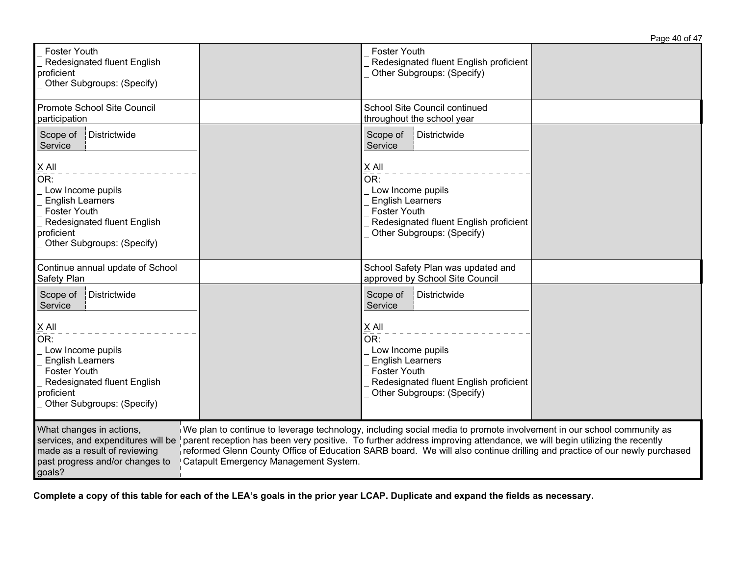|                                                                                                                                                                                       | Page 40 of 47                                                                                                                                                                                                                                                                                                                                                              |
|---------------------------------------------------------------------------------------------------------------------------------------------------------------------------------------|----------------------------------------------------------------------------------------------------------------------------------------------------------------------------------------------------------------------------------------------------------------------------------------------------------------------------------------------------------------------------|
| <b>Foster Youth</b><br>Redesignated fluent English<br>proficient<br>Other Subgroups: (Specify)                                                                                        | <b>Foster Youth</b><br>Redesignated fluent English proficient<br>Other Subgroups: (Specify)                                                                                                                                                                                                                                                                                |
| Promote School Site Council<br>participation                                                                                                                                          | School Site Council continued<br>throughout the school year                                                                                                                                                                                                                                                                                                                |
| Districtwide<br>Scope of<br>Service                                                                                                                                                   | Scope of<br>Districtwide<br>Service                                                                                                                                                                                                                                                                                                                                        |
| $X$ All<br>OR:<br>Low Income pupils<br><b>English Learners</b><br><b>Foster Youth</b><br>Redesignated fluent English<br>proficient<br>Other Subgroups: (Specify)                      | $X$ All<br>OR:<br>Low Income pupils<br><b>English Learners</b><br><b>Foster Youth</b><br>Redesignated fluent English proficient<br>Other Subgroups: (Specify)                                                                                                                                                                                                              |
| Continue annual update of School<br>Safety Plan                                                                                                                                       | School Safety Plan was updated and<br>approved by School Site Council                                                                                                                                                                                                                                                                                                      |
| Scope of<br>Districtwide<br>Service                                                                                                                                                   | Scope of<br>Districtwide<br>Service                                                                                                                                                                                                                                                                                                                                        |
| X All<br>OR:<br>Low Income pupils<br><b>English Learners</b><br><b>Foster Youth</b><br>Redesignated fluent English<br>proficient<br>Other Subgroups: (Specify)                        | $X$ All<br>OR:<br>Low Income pupils<br><b>English Learners</b><br><b>Foster Youth</b><br>Redesignated fluent English proficient<br>Other Subgroups: (Specify)                                                                                                                                                                                                              |
| What changes in actions,<br>services, and expenditures will be<br>made as a result of reviewing<br>past progress and/or changes to<br>Catapult Emergency Management System.<br>goals? | We plan to continue to leverage technology, including social media to promote involvement in our school community as<br>parent reception has been very positive. To further address improving attendance, we will begin utilizing the recently<br>reformed Glenn County Office of Education SARB board. We will also continue drilling and practice of our newly purchased |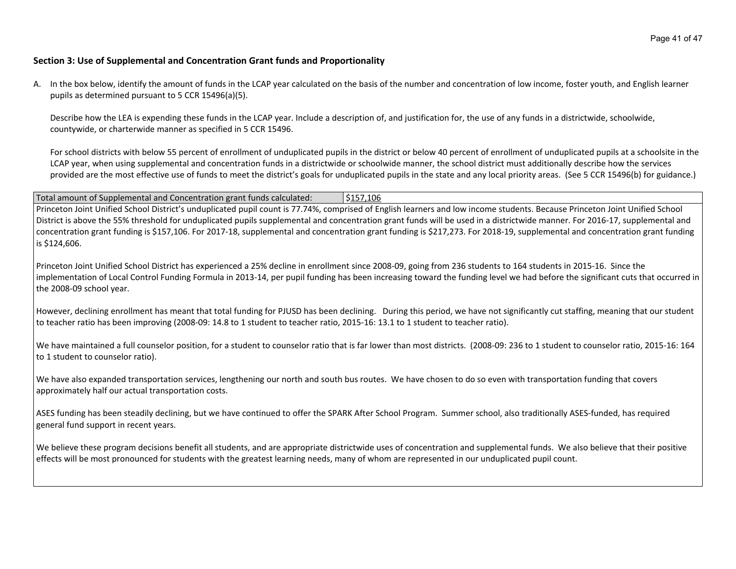### **Section 3: Use of Supplemental and Concentration Grant funds and Proportionality**

A. In the box below, identify the amount of funds in the LCAP year calculated on the basis of the number and concentration of low income, foster youth, and English learner pupils as determined pursuant to 5 CCR 15496(a)(5).

Describe how the LEA is expending these funds in the LCAP year. Include a description of, and justification for, the use of any funds in a districtwide, schoolwide, countywide, or charterwide manner as specified in 5 CCR 15496.

For school districts with below 55 percent of enrollment of unduplicated pupils in the district or below 40 percent of enrollment of unduplicated pupils at a schoolsite in the LCAP year, when using supplemental and concentration funds in a districtwide or schoolwide manner, the school district must additionally describe how the services provided are the most effective use of funds to meet the district's goals for unduplicated pupils in the state and any local priority areas. (See 5 CCR 15496(b) for guidance.)

Total amount of Supplemental and Concentration grant funds calculated:  $\frac{\text{S157,106}}{\text{S157,106}}$ Princeton Joint Unified School District's unduplicated pupil count is 77.74%, comprised of English learners and low income students. Because Princeton Joint Unified School District is above the 55% threshold for unduplicated pupils supplemental and concentration grant funds will be used in a districtwide manner. For 2016-17, supplemental and concentration grant funding is \$157,106. For 2017-18, supplemental and concentration grant funding is \$217,273. For 2018-19, supplemental and concentration grant funding is \$124,606.

Princeton Joint Unified School District has experienced a 25% decline in enrollment since 2008-09, going from 236 students to 164 students in 2015-16. Since the implementation of Local Control Funding Formula in 2013-14, per pupil funding has been increasing toward the funding level we had before the significant cuts that occurred in the 2008-09 school year.

However, declining enrollment has meant that total funding for PJUSD has been declining. During this period, we have not significantly cut staffing, meaning that our student to teacher ratio has been improving (2008-09: 14.8 to 1 student to teacher ratio, 2015-16: 13.1 to 1 student to teacher ratio).

We have maintained a full counselor position, for a student to counselor ratio that is far lower than most districts. (2008-09: 236 to 1 student to counselor ratio, 2015-16: 164 to 1 student to counselor ratio).

We have also expanded transportation services, lengthening our north and south bus routes. We have chosen to do so even with transportation funding that covers approximately half our actual transportation costs.

ASES funding has been steadily declining, but we have continued to offer the SPARK After School Program. Summer school, also traditionally ASES-funded, has required general fund support in recent years.

We believe these program decisions benefit all students, and are appropriate districtwide uses of concentration and supplemental funds. We also believe that their positive effects will be most pronounced for students with the greatest learning needs, many of whom are represented in our unduplicated pupil count.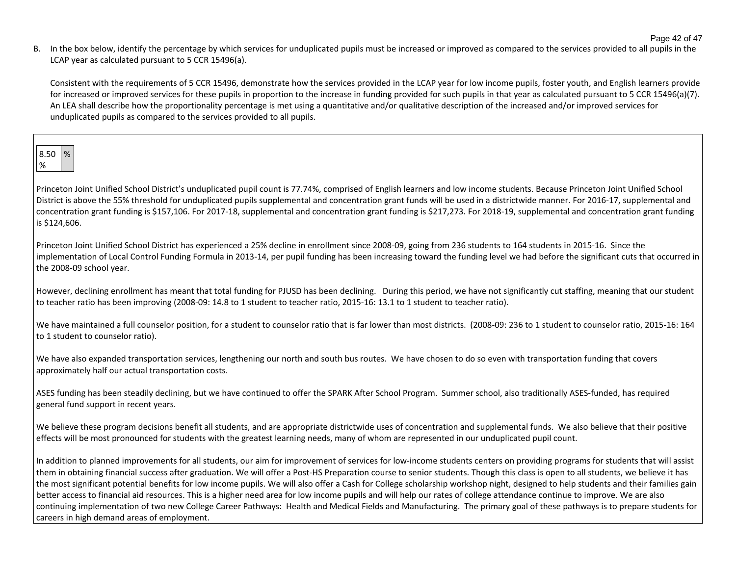Page 42 of 47

B. In the box below, identify the percentage by which services for unduplicated pupils must be increased or improved as compared to the services provided to all pupils in the LCAP year as calculated pursuant to 5 CCR 15496(a).

Consistent with the requirements of 5 CCR 15496, demonstrate how the services provided in the LCAP year for low income pupils, foster youth, and English learners provide for increased or improved services for these pupils in proportion to the increase in funding provided for such pupils in that year as calculated pursuant to 5 CCR 15496(a)(7). An LEA shall describe how the proportionality percentage is met using a quantitative and/or qualitative description of the increased and/or improved services for unduplicated pupils as compared to the services provided to all pupils.

Princeton Joint Unified School District's unduplicated pupil count is 77.74%, comprised of English learners and low income students. Because Princeton Joint Unified School District is above the 55% threshold for unduplicated pupils supplemental and concentration grant funds will be used in a districtwide manner. For 2016-17, supplemental and concentration grant funding is \$157,106. For 2017-18, supplemental and concentration grant funding is \$217,273. For 2018-19, supplemental and concentration grant funding is \$124,606.

Princeton Joint Unified School District has experienced a 25% decline in enrollment since 2008-09, going from 236 students to 164 students in 2015-16. Since the implementation of Local Control Funding Formula in 2013-14, per pupil funding has been increasing toward the funding level we had before the significant cuts that occurred in the 2008-09 school year.

However, declining enrollment has meant that total funding for PJUSD has been declining. During this period, we have not significantly cut staffing, meaning that our student to teacher ratio has been improving (2008-09: 14.8 to 1 student to teacher ratio, 2015-16: 13.1 to 1 student to teacher ratio).

We have maintained a full counselor position, for a student to counselor ratio that is far lower than most districts. (2008-09: 236 to 1 student to counselor ratio, 2015-16: 164 to 1 student to counselor ratio).

We have also expanded transportation services, lengthening our north and south bus routes. We have chosen to do so even with transportation funding that covers approximately half our actual transportation costs.

ASES funding has been steadily declining, but we have continued to offer the SPARK After School Program. Summer school, also traditionally ASES-funded, has required general fund support in recent years.

We believe these program decisions benefit all students, and are appropriate districtwide uses of concentration and supplemental funds. We also believe that their positive effects will be most pronounced for students with the greatest learning needs, many of whom are represented in our unduplicated pupil count.

In addition to planned improvements for all students, our aim for improvement of services for low-income students centers on providing programs for students that will assist them in obtaining financial success after graduation. We will offer a Post-HS Preparation course to senior students. Though this class is open to all students, we believe it has the most significant potential benefits for low income pupils. We will also offer a Cash for College scholarship workshop night, designed to help students and their families gain better access to financial aid resources. This is a higher need area for low income pupils and will help our rates of college attendance continue to improve. We are also continuing implementation of two new College Career Pathways: Health and Medical Fields and Manufacturing. The primary goal of these pathways is to prepare students for careers in high demand areas of employment.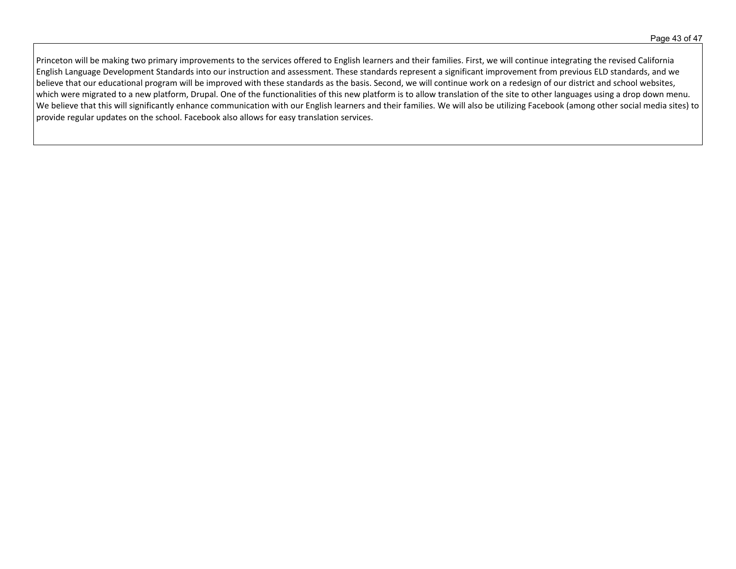Princeton will be making two primary improvements to the services offered to English learners and their families. First, we will continue integrating the revised California English Language Development Standards into our instruction and assessment. These standards represent a significant improvement from previous ELD standards, and we believe that our educational program will be improved with these standards as the basis. Second, we will continue work on a redesign of our district and school websites, which were migrated to a new platform, Drupal. One of the functionalities of this new platform is to allow translation of the site to other languages using a drop down menu. We believe that this will significantly enhance communication with our English learners and their families. We will also be utilizing Facebook (among other social media sites) to provide regular updates on the school. Facebook also allows for easy translation services.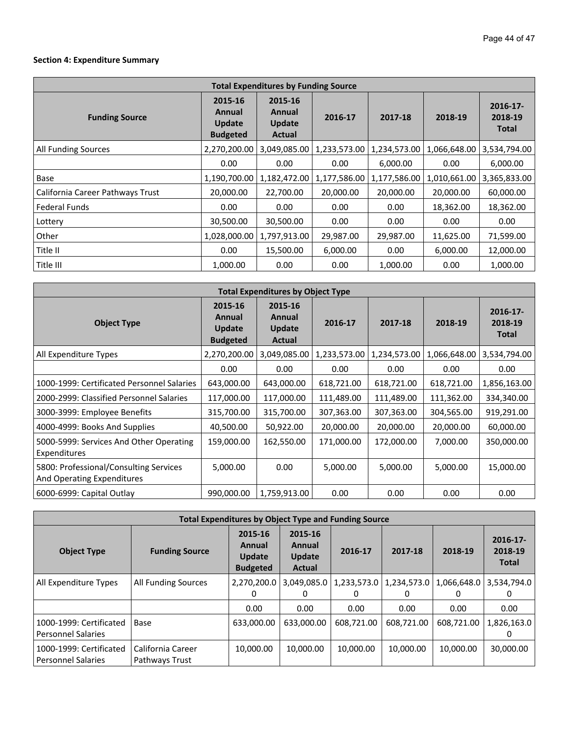# **Section 4: Expenditure Summary**

| <b>Total Expenditures by Funding Source</b> |                                                |                                                     |              |              |              |                                        |  |
|---------------------------------------------|------------------------------------------------|-----------------------------------------------------|--------------|--------------|--------------|----------------------------------------|--|
| <b>Funding Source</b>                       | 2015-16<br>Annual<br>Update<br><b>Budgeted</b> | 2015-16<br>Annual<br><b>Update</b><br><b>Actual</b> | 2016-17      | 2017-18      | 2018-19      | $2016 - 17$<br>2018-19<br><b>Total</b> |  |
| All Funding Sources                         | 2,270,200.00                                   | 3,049,085.00                                        | 1,233,573.00 | 1,234,573.00 | 1,066,648.00 | 3,534,794.00                           |  |
|                                             | 0.00                                           | 0.00                                                | 0.00         | 6,000.00     | 0.00         | 6,000.00                               |  |
| Base                                        | 1,190,700.00                                   | 1,182,472.00                                        | 1,177,586.00 | 1,177,586.00 | 1,010,661.00 | 3,365,833.00                           |  |
| California Career Pathways Trust            | 20,000.00                                      | 22,700.00                                           | 20,000.00    | 20,000.00    | 20,000.00    | 60,000.00                              |  |
| Federal Funds                               | 0.00                                           | 0.00                                                | 0.00         | 0.00         | 18,362.00    | 18,362.00                              |  |
| Lottery                                     | 30,500.00                                      | 30,500.00                                           | 0.00         | 0.00         | 0.00         | 0.00                                   |  |
| Other                                       | 1,028,000.00                                   | 1,797,913.00                                        | 29,987.00    | 29,987.00    | 11,625.00    | 71,599.00                              |  |
| Title II                                    | 0.00                                           | 15,500.00                                           | 6,000.00     | 0.00         | 6,000.00     | 12,000.00                              |  |
| Title III                                   | 1,000.00                                       | 0.00                                                | 0.00         | 1,000.00     | 0.00         | 1,000.00                               |  |

| <b>Total Expenditures by Object Type</b>                             |                                                |                                                     |              |              |              |                                        |  |  |  |
|----------------------------------------------------------------------|------------------------------------------------|-----------------------------------------------------|--------------|--------------|--------------|----------------------------------------|--|--|--|
| <b>Object Type</b>                                                   | 2015-16<br>Annual<br>Update<br><b>Budgeted</b> | 2015-16<br>Annual<br><b>Update</b><br><b>Actual</b> | 2016-17      | 2017-18      | 2018-19      | $2016 - 17$<br>2018-19<br><b>Total</b> |  |  |  |
| All Expenditure Types                                                | 2,270,200.00                                   | 3,049,085.00                                        | 1,233,573.00 | 1,234,573.00 | 1,066,648.00 | 3,534,794.00                           |  |  |  |
|                                                                      | 0.00                                           | 0.00                                                | 0.00         | 0.00         | 0.00         | 0.00                                   |  |  |  |
| 1000-1999: Certificated Personnel Salaries                           | 643,000.00                                     | 643,000.00                                          | 618,721.00   | 618,721.00   | 618,721.00   | 1,856,163.00                           |  |  |  |
| 2000-2999: Classified Personnel Salaries                             | 117,000.00                                     | 117,000.00                                          | 111,489.00   | 111,489.00   | 111,362.00   | 334,340.00                             |  |  |  |
| 3000-3999: Employee Benefits                                         | 315,700.00                                     | 315,700.00                                          | 307,363.00   | 307,363.00   | 304,565.00   | 919,291.00                             |  |  |  |
| 4000-4999: Books And Supplies                                        | 40,500.00                                      | 50,922.00                                           | 20,000.00    | 20,000.00    | 20,000.00    | 60,000.00                              |  |  |  |
| 5000-5999: Services And Other Operating<br>Expenditures              | 159,000.00                                     | 162,550.00                                          | 171,000.00   | 172,000.00   | 7,000.00     | 350,000.00                             |  |  |  |
| 5800: Professional/Consulting Services<br>And Operating Expenditures | 5,000.00                                       | 0.00                                                | 5,000.00     | 5,000.00     | 5,000.00     | 15,000.00                              |  |  |  |
| 6000-6999: Capital Outlay                                            | 990,000.00                                     | 1,759,913.00                                        | 0.00         | 0.00         | 0.00         | 0.00                                   |  |  |  |

| <b>Total Expenditures by Object Type and Funding Source</b> |                                     |                                                       |                                                     |                  |                  |                  |                                        |  |
|-------------------------------------------------------------|-------------------------------------|-------------------------------------------------------|-----------------------------------------------------|------------------|------------------|------------------|----------------------------------------|--|
| <b>Object Type</b>                                          | <b>Funding Source</b>               | 2015-16<br>Annual<br><b>Update</b><br><b>Budgeted</b> | 2015-16<br>Annual<br><b>Update</b><br><b>Actual</b> | 2016-17          | 2017-18          | 2018-19          | $2016 - 17$<br>2018-19<br><b>Total</b> |  |
| All Expenditure Types                                       | All Funding Sources                 | 2,270,200.0<br>0                                      | 3,049,085.0<br>0                                    | 1,233,573.0<br>0 | 1,234,573.0<br>0 | 1,066,648.0<br>0 | 3,534,794.0<br>$^{(1)}$                |  |
|                                                             |                                     | 0.00                                                  | 0.00                                                | 0.00             | 0.00             | 0.00             | 0.00                                   |  |
| 1000-1999: Certificated<br><b>Personnel Salaries</b>        | Base                                | 633,000.00                                            | 633,000,00                                          | 608.721.00       | 608.721.00       | 608,721.00       | 1,826,163.0                            |  |
| 1000-1999: Certificated<br>Personnel Salaries               | California Career<br>Pathways Trust | 10,000.00                                             | 10,000.00                                           | 10,000.00        | 10.000.00        | 10,000.00        | 30,000.00                              |  |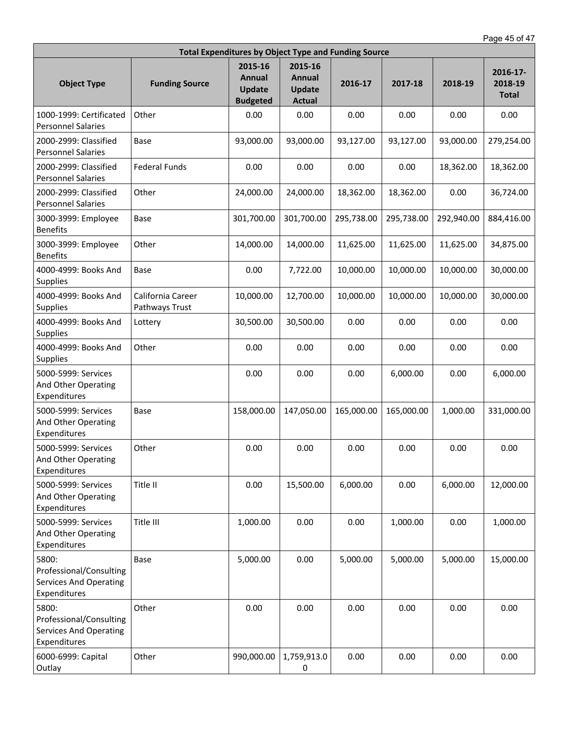| <b>Total Expenditures by Object Type and Funding Source</b>                       |                                     |                                                              |                                                     |            |            |            |                                     |  |  |
|-----------------------------------------------------------------------------------|-------------------------------------|--------------------------------------------------------------|-----------------------------------------------------|------------|------------|------------|-------------------------------------|--|--|
| <b>Object Type</b>                                                                | <b>Funding Source</b>               | 2015-16<br><b>Annual</b><br><b>Update</b><br><b>Budgeted</b> | 2015-16<br>Annual<br><b>Update</b><br><b>Actual</b> | 2016-17    | 2017-18    | 2018-19    | 2016-17-<br>2018-19<br><b>Total</b> |  |  |
| 1000-1999: Certificated<br><b>Personnel Salaries</b>                              | Other                               | 0.00                                                         | 0.00                                                | 0.00       | 0.00       | 0.00       | 0.00                                |  |  |
| 2000-2999: Classified<br><b>Personnel Salaries</b>                                | Base                                | 93,000.00                                                    | 93,000.00                                           | 93,127.00  | 93,127.00  | 93,000.00  | 279,254.00                          |  |  |
| 2000-2999: Classified<br><b>Personnel Salaries</b>                                | <b>Federal Funds</b>                | 0.00                                                         | 0.00                                                | 0.00       | 0.00       | 18,362.00  | 18,362.00                           |  |  |
| 2000-2999: Classified<br><b>Personnel Salaries</b>                                | Other                               | 24,000.00                                                    | 24,000.00                                           | 18,362.00  | 18,362.00  | 0.00       | 36,724.00                           |  |  |
| 3000-3999: Employee<br><b>Benefits</b>                                            | Base                                | 301,700.00                                                   | 301,700.00                                          | 295,738.00 | 295,738.00 | 292,940.00 | 884,416.00                          |  |  |
| 3000-3999: Employee<br><b>Benefits</b>                                            | Other                               | 14,000.00                                                    | 14,000.00                                           | 11,625.00  | 11,625.00  | 11,625.00  | 34,875.00                           |  |  |
| 4000-4999: Books And<br><b>Supplies</b>                                           | Base                                | 0.00                                                         | 7,722.00                                            | 10,000.00  | 10,000.00  | 10,000.00  | 30,000.00                           |  |  |
| 4000-4999: Books And<br>Supplies                                                  | California Career<br>Pathways Trust | 10,000.00                                                    | 12,700.00                                           | 10,000.00  | 10,000.00  | 10,000.00  | 30,000.00                           |  |  |
| 4000-4999: Books And<br>Supplies                                                  | Lottery                             | 30,500.00                                                    | 30,500.00                                           | 0.00       | 0.00       | 0.00       | 0.00                                |  |  |
| 4000-4999: Books And<br>Supplies                                                  | Other                               | 0.00                                                         | 0.00                                                | 0.00       | 0.00       | 0.00       | 0.00                                |  |  |
| 5000-5999: Services<br>And Other Operating<br>Expenditures                        |                                     | 0.00                                                         | 0.00                                                | 0.00       | 6,000.00   | 0.00       | 6,000.00                            |  |  |
| 5000-5999: Services<br>And Other Operating<br>Expenditures                        | Base                                | 158,000.00                                                   | 147,050.00                                          | 165,000.00 | 165,000.00 | 1,000.00   | 331,000.00                          |  |  |
| 5000-5999: Services<br>And Other Operating<br>Expenditures                        | Other                               | 0.00                                                         | 0.00                                                | 0.00       | 0.00       | 0.00       | 0.00                                |  |  |
| 5000-5999: Services<br>And Other Operating<br>Expenditures                        | Title II                            | 0.00                                                         | 15,500.00                                           | 6,000.00   | 0.00       | 6,000.00   | 12,000.00                           |  |  |
| 5000-5999: Services<br>And Other Operating<br>Expenditures                        | Title III                           | 1,000.00                                                     | 0.00                                                | 0.00       | 1,000.00   | 0.00       | 1,000.00                            |  |  |
| 5800:<br>Professional/Consulting<br><b>Services And Operating</b><br>Expenditures | Base                                | 5,000.00                                                     | 0.00                                                | 5,000.00   | 5,000.00   | 5,000.00   | 15,000.00                           |  |  |
| 5800:<br>Professional/Consulting<br><b>Services And Operating</b><br>Expenditures | Other                               | 0.00                                                         | 0.00                                                | 0.00       | 0.00       | 0.00       | 0.00                                |  |  |
| 6000-6999: Capital<br>Outlay                                                      | Other                               | 990,000.00                                                   | 1,759,913.0<br>0                                    | 0.00       | 0.00       | 0.00       | 0.00                                |  |  |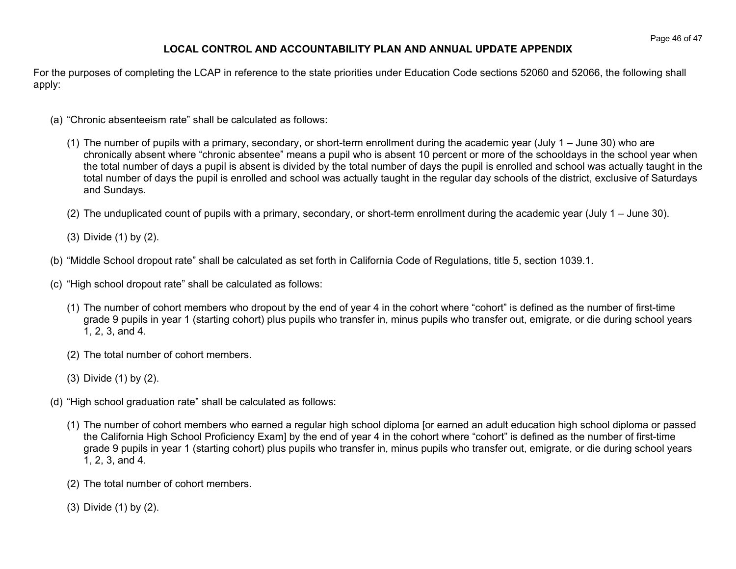# **LOCAL CONTROL AND ACCOUNTABILITY PLAN AND ANNUAL UPDATE APPENDIX**

For the purposes of completing the LCAP in reference to the state priorities under Education Code sections 52060 and 52066, the following shall apply:

- (a) "Chronic absenteeism rate" shall be calculated as follows:
	- (1) The number of pupils with a primary, secondary, or short-term enrollment during the academic year (July 1 June 30) who are chronically absent where "chronic absentee" means a pupil who is absent 10 percent or more of the schooldays in the school year when the total number of days a pupil is absent is divided by the total number of days the pupil is enrolled and school was actually taught in the total number of days the pupil is enrolled and school was actually taught in the regular day schools of the district, exclusive of Saturdays and Sundays.
	- (2) The unduplicated count of pupils with a primary, secondary, or short-term enrollment during the academic year (July 1 June 30).
	- (3) Divide (1) by (2).
- (b) "Middle School dropout rate" shall be calculated as set forth in California Code of Regulations, title 5, section 1039.1.
- (c) "High school dropout rate" shall be calculated as follows:
	- (1) The number of cohort members who dropout by the end of year 4 in the cohort where "cohort" is defined as the number of first-time grade 9 pupils in year 1 (starting cohort) plus pupils who transfer in, minus pupils who transfer out, emigrate, or die during school years 1, 2, 3, and 4.
	- (2) The total number of cohort members.
	- (3) Divide (1) by (2).
- (d) "High school graduation rate" shall be calculated as follows:
	- (1) The number of cohort members who earned a regular high school diploma [or earned an adult education high school diploma or passed the California High School Proficiency Exam] by the end of year 4 in the cohort where "cohort" is defined as the number of first-time grade 9 pupils in year 1 (starting cohort) plus pupils who transfer in, minus pupils who transfer out, emigrate, or die during school years 1, 2, 3, and 4.
	- (2) The total number of cohort members.
	- (3) Divide (1) by (2).